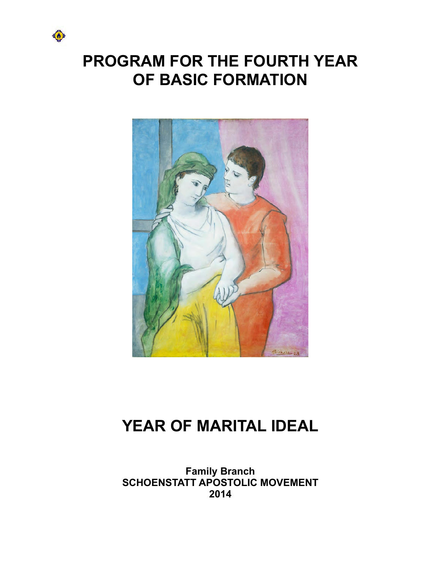

# **PROGRAM FOR THE FOURTH YEAR OF BASIC FORMATION**



# **YEAR OF MARITAL IDEAL**

**Family Branch SCHOENSTATT APOSTOLIC MOVEMENT 2014**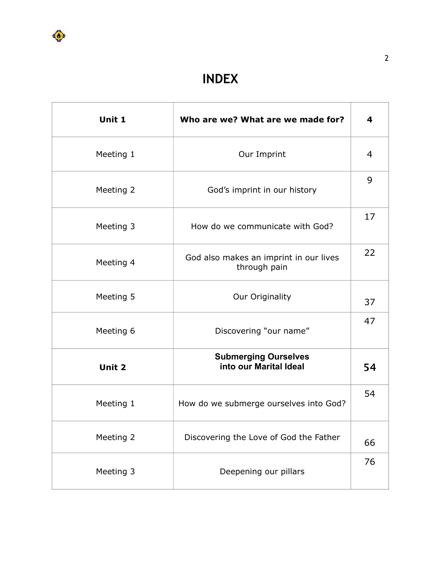

## **INDEX**

| Unit 1    | Who are we? What are we made for?                      | 4  |
|-----------|--------------------------------------------------------|----|
| Meeting 1 | Our Imprint                                            | 4  |
| Meeting 2 | God's imprint in our history                           | 9  |
| Meeting 3 | How do we communicate with God?                        | 17 |
| Meeting 4 | God also makes an imprint in our lives<br>through pain | 22 |
| Meeting 5 | Our Originality                                        | 37 |
| Meeting 6 | Discovering "our name"                                 | 47 |
| Unit 2    | <b>Submerging Ourselves</b><br>into our Marital Ideal  |    |
| Meeting 1 | How do we submerge ourselves into God?                 | 54 |
| Meeting 2 | Discovering the Love of God the Father                 | 66 |
| Meeting 3 | Deepening our pillars                                  | 76 |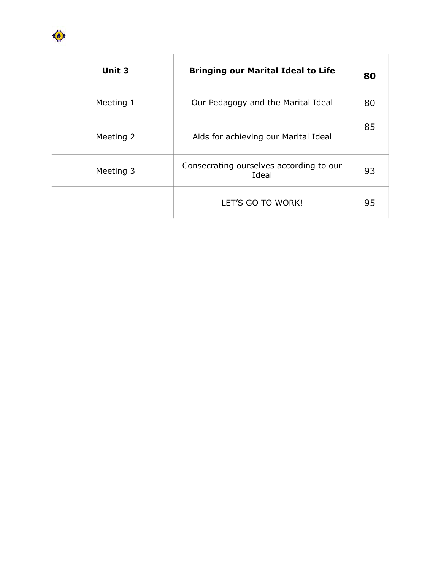

| Unit 3    | <b>Bringing our Marital Ideal to Life</b>        | 80 |
|-----------|--------------------------------------------------|----|
| Meeting 1 | Our Pedagogy and the Marital Ideal               | 80 |
| Meeting 2 | Aids for achieving our Marital Ideal             | 85 |
| Meeting 3 | Consecrating ourselves according to our<br>Ideal | 93 |
|           | LET'S GO TO WORK!                                | 95 |

 $\overline{1}$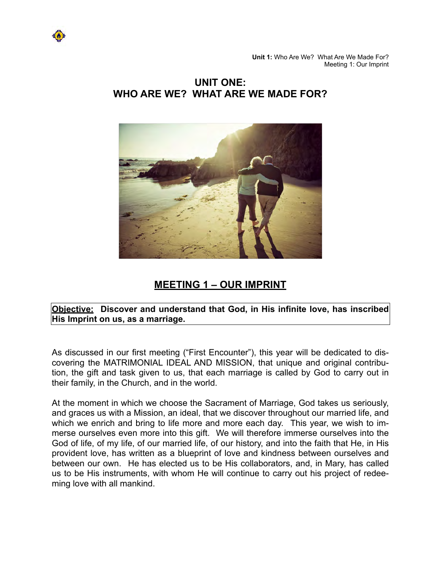

**Unit 1:** Who Are We? What Are We Made For? Meeting 1: Our Imprint





## **MEETING 1 – OUR IMPRINT**

**Objective: Discover and understand that God, in His infinite love, has inscribed His Imprint on us, as a marriage.**

As discussed in our first meeting ("First Encounter"), this year will be dedicated to discovering the MATRIMONIAL IDEAL AND MISSION, that unique and original contribution, the gift and task given to us, that each marriage is called by God to carry out in their family, in the Church, and in the world.

At the moment in which we choose the Sacrament of Marriage, God takes us seriously, and graces us with a Mission, an ideal, that we discover throughout our married life, and which we enrich and bring to life more and more each day. This year, we wish to immerse ourselves even more into this gift. We will therefore immerse ourselves into the God of life, of my life, of our married life, of our history, and into the faith that He, in His provident love, has written as a blueprint of love and kindness between ourselves and between our own. He has elected us to be His collaborators, and, in Mary, has called us to be His instruments, with whom He will continue to carry out his project of redeeming love with all mankind.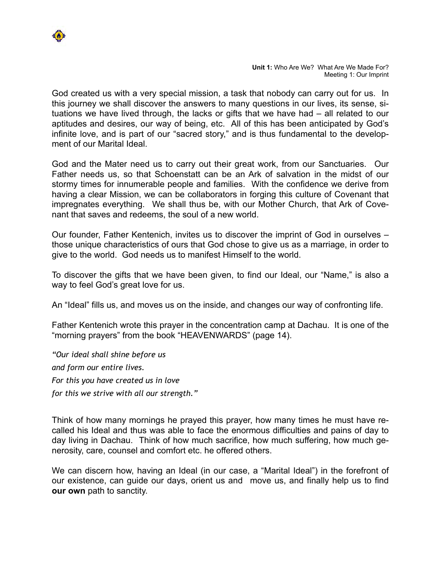

God created us with a very special mission, a task that nobody can carry out for us. In this journey we shall discover the answers to many questions in our lives, its sense, situations we have lived through, the lacks or gifts that we have had – all related to our aptitudes and desires, our way of being, etc. All of this has been anticipated by God's infinite love, and is part of our "sacred story," and is thus fundamental to the development of our Marital Ideal.

God and the Mater need us to carry out their great work, from our Sanctuaries. Our Father needs us, so that Schoenstatt can be an Ark of salvation in the midst of our stormy times for innumerable people and families. With the confidence we derive from having a clear Mission, we can be collaborators in forging this culture of Covenant that impregnates everything. We shall thus be, with our Mother Church, that Ark of Covenant that saves and redeems, the soul of a new world.

Our founder, Father Kentenich, invites us to discover the imprint of God in ourselves – those unique characteristics of ours that God chose to give us as a marriage, in order to give to the world. God needs us to manifest Himself to the world.

To discover the gifts that we have been given, to find our Ideal, our "Name," is also a way to feel God's great love for us.

An "Ideal" fills us, and moves us on the inside, and changes our way of confronting life.

Father Kentenich wrote this prayer in the concentration camp at Dachau. It is one of the "morning prayers" from the book "HEAVENWARDS" (page 14).

*"Our ideal shall shine before us and form our entire lives. For this you have created us in love for this we strive with all our strength."* 

Think of how many mornings he prayed this prayer, how many times he must have recalled his Ideal and thus was able to face the enormous difficulties and pains of day to day living in Dachau. Think of how much sacrifice, how much suffering, how much generosity, care, counsel and comfort etc. he offered others.

We can discern how, having an Ideal (in our case, a "Marital Ideal") in the forefront of our existence, can guide our days, orient us and move us, and finally help us to find **our own** path to sanctity.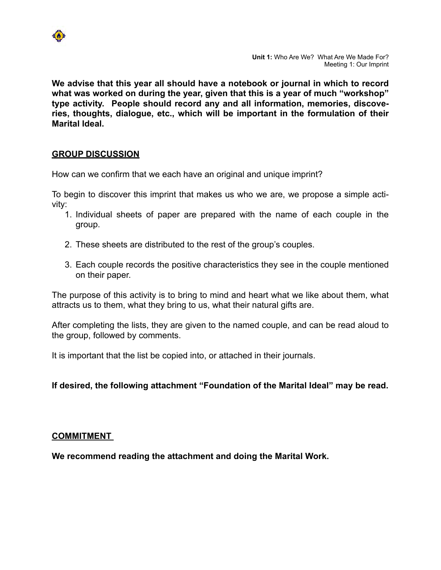

**We advise that this year all should have a notebook or journal in which to record what was worked on during the year, given that this is a year of much "workshop" type activity. People should record any and all information, memories, discoveries, thoughts, dialogue, etc., which will be important in the formulation of their Marital Ideal.**

## **GROUP DISCUSSION**

How can we confirm that we each have an original and unique imprint?

To begin to discover this imprint that makes us who we are, we propose a simple activity:

- 1. Individual sheets of paper are prepared with the name of each couple in the group.
- 2. These sheets are distributed to the rest of the group's couples.
- 3. Each couple records the positive characteristics they see in the couple mentioned on their paper.

The purpose of this activity is to bring to mind and heart what we like about them, what attracts us to them, what they bring to us, what their natural gifts are.

After completing the lists, they are given to the named couple, and can be read aloud to the group, followed by comments.

It is important that the list be copied into, or attached in their journals.

**If desired, the following attachment "Foundation of the Marital Ideal" may be read.**

## **COMMITMENT**

**We recommend reading the attachment and doing the Marital Work.**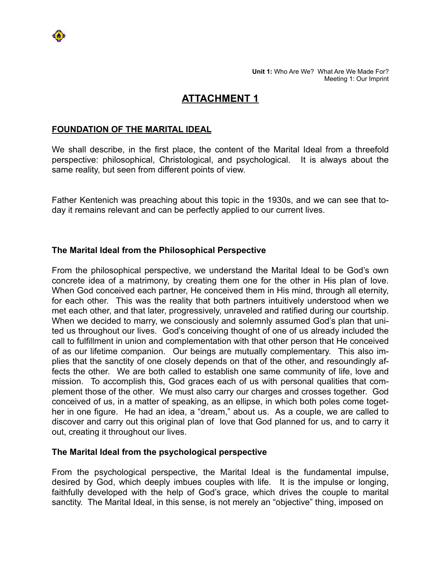

**Unit 1:** Who Are We? What Are We Made For? Meeting 1: Our Imprint

## **ATTACHMENT 1**

## **FOUNDATION OF THE MARITAL IDEAL**

We shall describe, in the first place, the content of the Marital Ideal from a threefold perspective: philosophical, Christological, and psychological. It is always about the same reality, but seen from different points of view.

Father Kentenich was preaching about this topic in the 1930s, and we can see that today it remains relevant and can be perfectly applied to our current lives.

## **The Marital Ideal from the Philosophical Perspective**

From the philosophical perspective, we understand the Marital Ideal to be God's own concrete idea of a matrimony, by creating them one for the other in His plan of love. When God conceived each partner, He conceived them in His mind, through all eternity, for each other. This was the reality that both partners intuitively understood when we met each other, and that later, progressively, unraveled and ratified during our courtship. When we decided to marry, we consciously and solemnly assumed God's plan that united us throughout our lives. God's conceiving thought of one of us already included the call to fulfillment in union and complementation with that other person that He conceived of as our lifetime companion. Our beings are mutually complementary. This also implies that the sanctity of one closely depends on that of the other, and resoundingly affects the other. We are both called to establish one same community of life, love and mission. To accomplish this, God graces each of us with personal qualities that complement those of the other. We must also carry our charges and crosses together. God conceived of us, in a matter of speaking, as an ellipse, in which both poles come together in one figure. He had an idea, a "dream," about us. As a couple, we are called to discover and carry out this original plan of love that God planned for us, and to carry it out, creating it throughout our lives.

## **The Marital Ideal from the psychological perspective**

From the psychological perspective, the Marital Ideal is the fundamental impulse, desired by God, which deeply imbues couples with life. It is the impulse or longing, faithfully developed with the help of God's grace, which drives the couple to marital sanctity. The Marital Ideal, in this sense, is not merely an "objective" thing, imposed on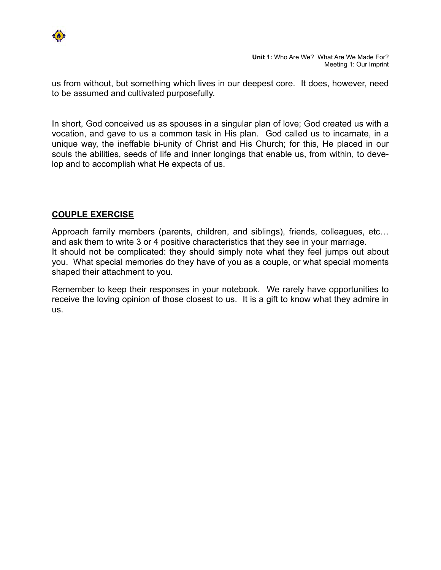

us from without, but something which lives in our deepest core. It does, however, need to be assumed and cultivated purposefully.

In short, God conceived us as spouses in a singular plan of love; God created us with a vocation, and gave to us a common task in His plan. God called us to incarnate, in a unique way, the ineffable bi-unity of Christ and His Church; for this, He placed in our souls the abilities, seeds of life and inner longings that enable us, from within, to develop and to accomplish what He expects of us.

## **COUPLE EXERCISE**

Approach family members (parents, children, and siblings), friends, colleagues, etc… and ask them to write 3 or 4 positive characteristics that they see in your marriage. It should not be complicated: they should simply note what they feel jumps out about you. What special memories do they have of you as a couple, or what special moments shaped their attachment to you.

Remember to keep their responses in your notebook. We rarely have opportunities to receive the loving opinion of those closest to us. It is a gift to know what they admire in us.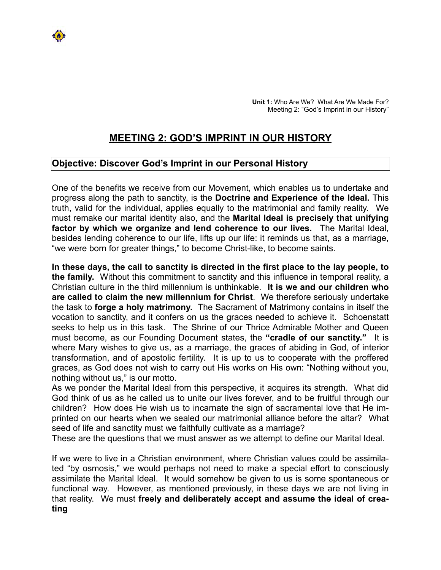

## **MEETING 2: GOD'S IMPRINT IN OUR HISTORY**

## **Objective: Discover God's Imprint in our Personal History**

One of the benefits we receive from our Movement, which enables us to undertake and progress along the path to sanctity, is the **Doctrine and Experience of the Ideal.** This truth, valid for the individual, applies equally to the matrimonial and family reality. We must remake our marital identity also, and the **Marital Ideal is precisely that unifying factor by which we organize and lend coherence to our lives.** The Marital Ideal, besides lending coherence to our life, lifts up our life: it reminds us that, as a marriage, "we were born for greater things," to become Christ-like, to become saints.

**In these days, the call to sanctity is directed in the first place to the lay people, to the family.** Without this commitment to sanctity and this influence in temporal reality, a Christian culture in the third millennium is unthinkable. **It is we and our children who are called to claim the new millennium for Christ**. We therefore seriously undertake the task to **forge a holy matrimony.** The Sacrament of Matrimony contains in itself the vocation to sanctity, and it confers on us the graces needed to achieve it. Schoenstatt seeks to help us in this task. The Shrine of our Thrice Admirable Mother and Queen must become, as our Founding Document states, the **"cradle of our sanctity."** It is where Mary wishes to give us, as a marriage, the graces of abiding in God, of interior transformation, and of apostolic fertility. It is up to us to cooperate with the proffered graces, as God does not wish to carry out His works on His own: "Nothing without you, nothing without us," is our motto.

As we ponder the Marital Ideal from this perspective, it acquires its strength. What did God think of us as he called us to unite our lives forever, and to be fruitful through our children? How does He wish us to incarnate the sign of sacramental love that He imprinted on our hearts when we sealed our matrimonial alliance before the altar? What seed of life and sanctity must we faithfully cultivate as a marriage?

These are the questions that we must answer as we attempt to define our Marital Ideal.

If we were to live in a Christian environment, where Christian values could be assimilated "by osmosis," we would perhaps not need to make a special effort to consciously assimilate the Marital Ideal. It would somehow be given to us is some spontaneous or functional way. However, as mentioned previously, in these days we are not living in that reality. We must **freely and deliberately accept and assume the ideal of creating** 

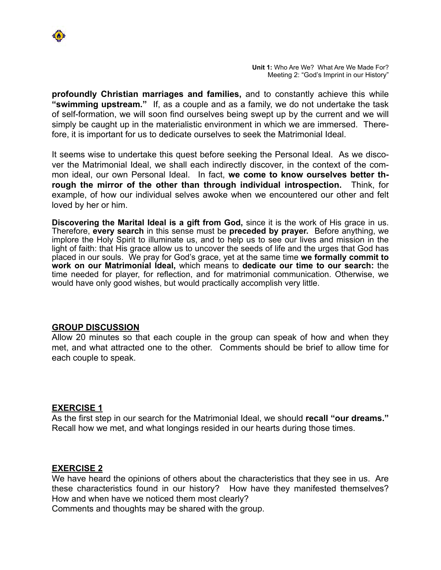

**Unit 1:** Who Are We? What Are We Made For? Meeting 2: "God's Imprint in our History"

**profoundly Christian marriages and families,** and to constantly achieve this while **"swimming upstream."** If, as a couple and as a family, we do not undertake the task of self-formation, we will soon find ourselves being swept up by the current and we will simply be caught up in the materialistic environment in which we are immersed. Therefore, it is important for us to dedicate ourselves to seek the Matrimonial Ideal.

It seems wise to undertake this quest before seeking the Personal Ideal. As we discover the Matrimonial Ideal, we shall each indirectly discover, in the context of the common ideal, our own Personal Ideal. In fact, **we come to know ourselves better through the mirror of the other than through individual introspection.** Think, for example, of how our individual selves awoke when we encountered our other and felt loved by her or him.

**Discovering the Marital Ideal is a gift from God,** since it is the work of His grace in us. Therefore, **every search** in this sense must be **preceded by prayer.** Before anything, we implore the Holy Spirit to illuminate us, and to help us to see our lives and mission in the light of faith: that His grace allow us to uncover the seeds of life and the urges that God has placed in our souls. We pray for God's grace, yet at the same time **we formally commit to work on our Matrimonial Ideal,** which means to **dedicate our time to our search:** the time needed for player, for reflection, and for matrimonial communication. Otherwise, we would have only good wishes, but would practically accomplish very little.

## **GROUP DISCUSSION**

Allow 20 minutes so that each couple in the group can speak of how and when they met, and what attracted one to the other. Comments should be brief to allow time for each couple to speak.

## **EXERCISE 1**

As the first step in our search for the Matrimonial Ideal, we should **recall "our dreams."**  Recall how we met, and what longings resided in our hearts during those times.

## **EXERCISE 2**

We have heard the opinions of others about the characteristics that they see in us. Are these characteristics found in our history? How have they manifested themselves? How and when have we noticed them most clearly?

Comments and thoughts may be shared with the group.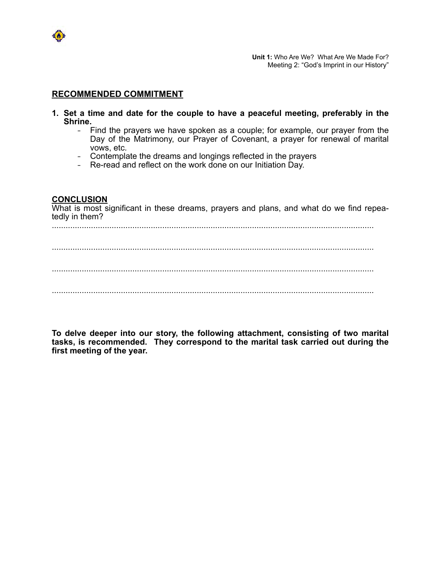

#### **RECOMMENDED COMMITMENT**

- **1. Set a time and date for the couple to have a peaceful meeting, preferably in the Shrine.**
	- Find the prayers we have spoken as a couple; for example, our prayer from the Day of the Matrimony, our Prayer of Covenant, a prayer for renewal of marital vows, etc.
	- Contemplate the dreams and longings reflected in the prayers
	- Re-read and reflect on the work done on our Initiation Day.

#### **CONCLUSION**

What is most significant in these dreams, prayers and plans, and what do we find repeatedly in them?

............................................................................................................................................

............................................................................................................................................ ............................................................................................................................................ ............................................................................................................................................

**To delve deeper into our story, the following attachment, consisting of two marital tasks, is recommended. They correspond to the marital task carried out during the first meeting of the year.**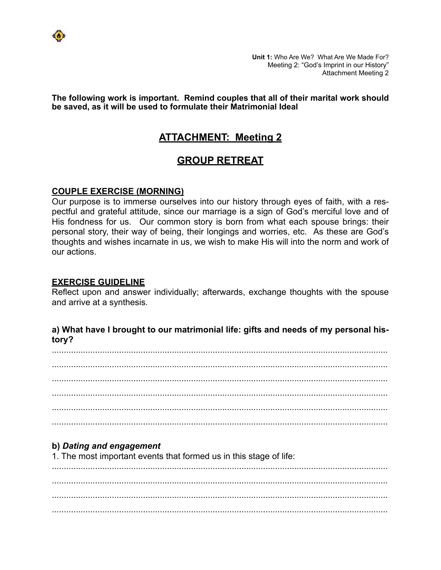

**Unit 1:** Who Are We? What Are We Made For? Meeting 2: "God's Imprint in our History" Attachment Meeting 2

**The following work is important. Remind couples that all of their marital work should be saved, as it will be used to formulate their Matrimonial Ideal**

## **ATTACHMENT: Meeting 2**

## **GROUP RETREAT**

## **COUPLE EXERCISE (MORNING)**

Our purpose is to immerse ourselves into our history through eyes of faith, with a respectful and grateful attitude, since our marriage is a sign of God's merciful love and of His fondness for us. Our common story is born from what each spouse brings: their personal story, their way of being, their longings and worries, etc. As these are God's thoughts and wishes incarnate in us, we wish to make His will into the norm and work of our actions.

## **EXERCISE GUIDELINE**

Reflect upon and answer individually; afterwards, exchange thoughts with the spouse and arrive at a synthesis.

## **a) What have I brought to our matrimonial life: gifts and needs of my personal history?**

............................................................................................................................................ ............................................................................................................................................ ............................................................................................................................................ ............................................................................................................................................ ............................................................................................................................................ ............................................................................................................................................

## **b)** *Dating and engagement*

1. The most important events that formed us in this stage of life:

............................................................................................................................................ ............................................................................................................................................ ............................................................................................................................................ ............................................................................................................................................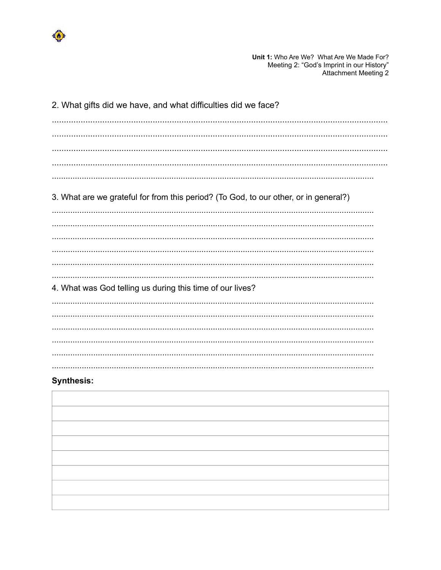

Unit 1: Who Are We? What Are We Made For? Meeting 2: "God's Imprint in our History" **Attachment Meeting 2** 

2. What gifts did we have, and what difficulties did we face? 3. What are we grateful for from this period? (To God, to our other, or in general?) 4. What was God telling us during this time of our lives? 

## **Synthesis:**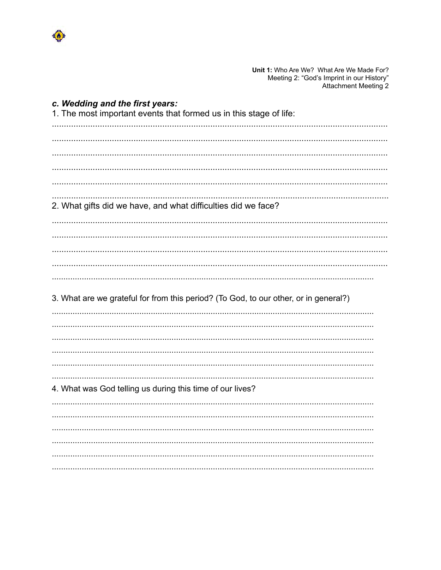

Unit 1: Who Are We? What Are We Made For? Meeting 2: "God's Imprint in our History"<br>Attachment Meeting 2

| c. Wedding and the first years:<br>1. The most important events that formed us in this stage of life: |
|-------------------------------------------------------------------------------------------------------|
|                                                                                                       |
|                                                                                                       |
|                                                                                                       |
| 2. What gifts did we have, and what difficulties did we face?                                         |
|                                                                                                       |
|                                                                                                       |
|                                                                                                       |
| 3. What are we grateful for from this period? (To God, to our other, or in general?)                  |
|                                                                                                       |
|                                                                                                       |
|                                                                                                       |
| 4. What was God telling us during this time of our lives?                                             |
|                                                                                                       |
|                                                                                                       |
|                                                                                                       |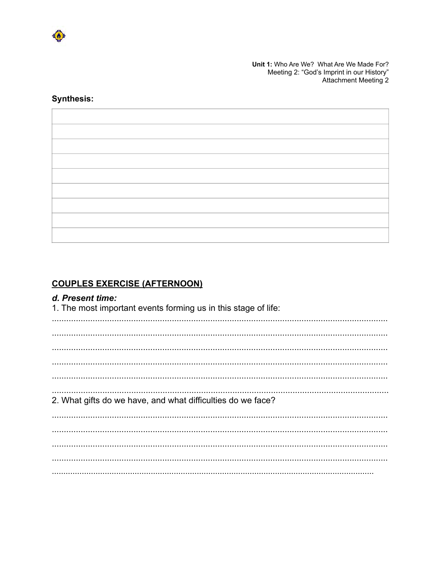**Unit 1:** Who Are We? What Are We Made For?<br>Meeting 2: "God's Imprint in our History"<br>Attachment Meeting 2

## **Synthesis:**

## **COUPLES EXERCISE (AFTERNOON)**

## d. Present time:

| 1. The most important events forming us in this stage of life: |
|----------------------------------------------------------------|
|                                                                |
|                                                                |
|                                                                |
|                                                                |
|                                                                |
| 2. What gifts do we have, and what difficulties do we face?    |
|                                                                |
|                                                                |
|                                                                |
|                                                                |

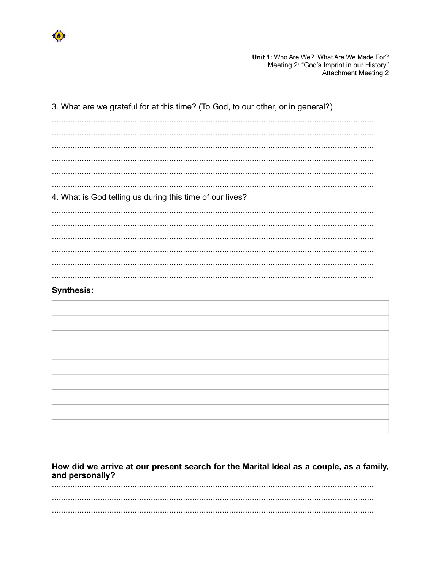

Unit 1: Who Are We? What Are We Made For? Meeting 2: "God's Imprint in our History" **Attachment Meeting 2** 

3. What are we grateful for at this time? (To God, to our other, or in general?)

4. What is God telling us during this time of our lives? 

## **Synthesis:**

| the control of the control of the control of the control of the control of |  |
|----------------------------------------------------------------------------|--|
|                                                                            |  |
|                                                                            |  |
|                                                                            |  |

How did we arrive at our present search for the Marital Ideal as a couple, as a family, and personally?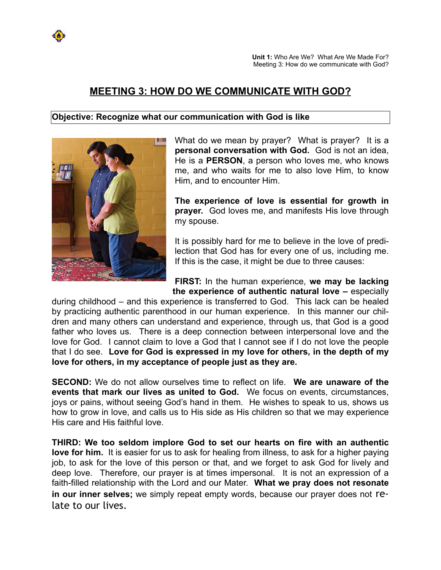

## **MEETING 3: HOW DO WE COMMUNICATE WITH GOD?**

**Objective: Recognize what our communication with God is like**



What do we mean by prayer? What is prayer? It is a **personal conversation with God.** God is not an idea, He is a **PERSON**, a person who loves me, who knows me, and who waits for me to also love Him, to know Him, and to encounter Him.

**The experience of love is essential for growth in prayer.** God loves me, and manifests His love through my spouse.

It is possibly hard for me to believe in the love of predilection that God has for every one of us, including me. If this is the case, it might be due to three causes:

**FIRST:** In the human experience, **we may be lacking the experience of authentic natural love –** especially

during childhood – and this experience is transferred to God. This lack can be healed by practicing authentic parenthood in our human experience. In this manner our children and many others can understand and experience, through us, that God is a good father who loves us. There is a deep connection between interpersonal love and the love for God. I cannot claim to love a God that I cannot see if I do not love the people that I do see. **Love for God is expressed in my love for others, in the depth of my love for others, in my acceptance of people just as they are.**

**SECOND:** We do not allow ourselves time to reflect on life. **We are unaware of the events that mark our lives as united to God.** We focus on events, circumstances, joys or pains, without seeing God's hand in them. He wishes to speak to us, shows us how to grow in love, and calls us to His side as His children so that we may experience His care and His faithful love.

**THIRD: We too seldom implore God to set our hearts on fire with an authentic love for him.** It is easier for us to ask for healing from illness, to ask for a higher paying job, to ask for the love of this person or that, and we forget to ask God for lively and deep love. Therefore, our prayer is at times impersonal. It is not an expression of a faith-filled relationship with the Lord and our Mater. **What we pray does not resonate in our inner selves;** we simply repeat empty words, because our prayer does not relate to our lives.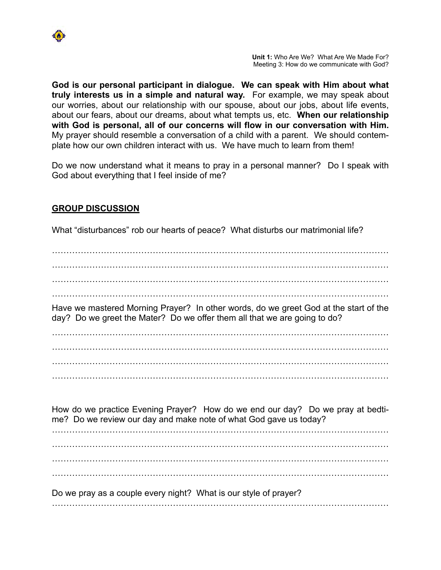

**God is our personal participant in dialogue. We can speak with Him about what truly interests us in a simple and natural way.** For example, we may speak about our worries, about our relationship with our spouse, about our jobs, about life events, about our fears, about our dreams, about what tempts us, etc. **When our relationship with God is personal, all of our concerns will flow in our conversation with Him.**  My prayer should resemble a conversation of a child with a parent. We should contemplate how our own children interact with us. We have much to learn from them!

Do we now understand what it means to pray in a personal manner? Do I speak with God about everything that I feel inside of me?

## **GROUP DISCUSSION**

What "disturbances" rob our hearts of peace? What disturbs our matrimonial life?

……………………………………………………………………………………………………… ……………………………………………………………………………………………………… ………………………………………………………………………………………………………

………………………………………………………………………………………………………

Have we mastered Morning Prayer? In other words, do we greet God at the start of the day? Do we greet the Mater? Do we offer them all that we are going to do?

……………………………………………………………………………………………………… ……………………………………………………………………………………………………… ………………………………………………………………………………………………………

| How do we practice Evening Prayer? How do we end our day? Do we pray at bedti-<br>me? Do we review our day and make note of what God gave us today? |
|-----------------------------------------------------------------------------------------------------------------------------------------------------|
|                                                                                                                                                     |
|                                                                                                                                                     |
|                                                                                                                                                     |
| Do we pray as a couple every night? What is our style of prayer?                                                                                    |
|                                                                                                                                                     |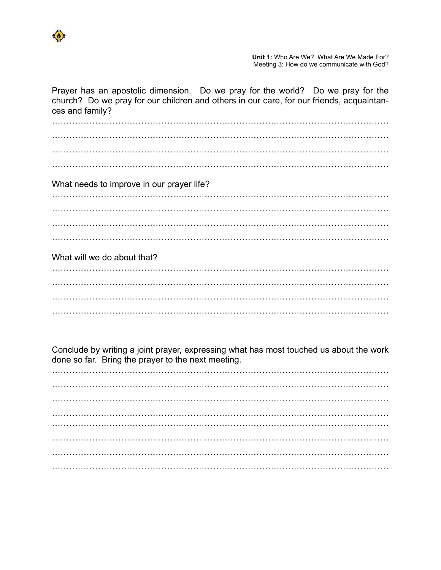

Prayer has an apostolic dimension. Do we pray for the world? Do we pray for the church? Do we pray for our children and others in our care, for our friends, acquaintances and family?

……………………………………………………………………………………………………… ……………………………………………………………………………………………………… ……………………………………………………………………………………………………… ………………………………………………………………………………………………………

What needs to improve in our prayer life?

……………………………………………………………………………………………………… ……………………………………………………………………………………………………… ……………………………………………………………………………………………………… ………………………………………………………………………………………………………

What will we do about that?

……………………………………………………………………………………………………… ……………………………………………………………………………………………………… ……………………………………………………………………………………………………… ………………………………………………………………………………………………………

Conclude by writing a joint prayer, expressing what has most touched us about the work done so far. Bring the prayer to the next meeting.

……………………………………………………………………………………………………… ……………………………………………………………………………………………………… ……………………………………………………………………………………………………… ……………………………………………………………………………………………………… ……………………………………………………………………………………………………… ……………………………………………………………………………………………………… ……………………………………………………………………………………………………… ………………………………………………………………………………………………………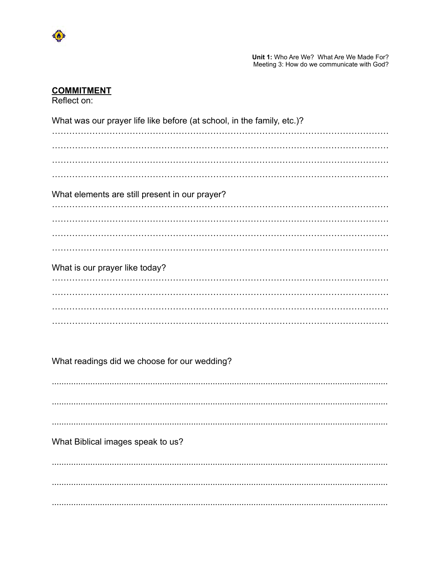

## **COMMITMENT**

Reflect on:

| What was our prayer life like before (at school, in the family, etc.)? |
|------------------------------------------------------------------------|
|                                                                        |
|                                                                        |
|                                                                        |
|                                                                        |
| What elements are still present in our prayer?                         |
|                                                                        |
|                                                                        |
|                                                                        |
|                                                                        |
| What is our prayer like today?                                         |
|                                                                        |
|                                                                        |
|                                                                        |

What readings did we choose for our wedding? What Biblical images speak to us?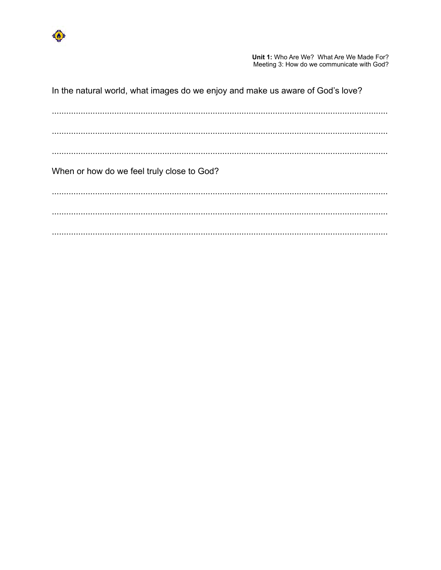

Unit 1: Who Are We? What Are We Made For? Meeting 3: How do we communicate with God?

In the natural world, what images do we enjoy and make us aware of God's love? When or how do we feel truly close to God?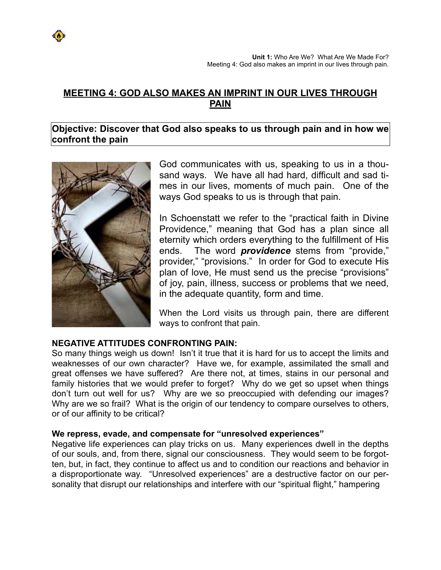

## **MEETING 4: GOD ALSO MAKES AN IMPRINT IN OUR LIVES THROUGH PAIN**

**Objective: Discover that God also speaks to us through pain and in how we confront the pain**



God communicates with us, speaking to us in a thousand ways. We have all had hard, difficult and sad times in our lives, moments of much pain. One of the ways God speaks to us is through that pain.

In Schoenstatt we refer to the "practical faith in Divine Providence," meaning that God has a plan since all eternity which orders everything to the fulfillment of His ends. The word *providence* stems from "provide," provider," "provisions." In order for God to execute His plan of love, He must send us the precise "provisions" of joy, pain, illness, success or problems that we need, in the adequate quantity, form and time.

When the Lord visits us through pain, there are different ways to confront that pain.

## **NEGATIVE ATTITUDES CONFRONTING PAIN:**

So many things weigh us down! Isn't it true that it is hard for us to accept the limits and weaknesses of our own character? Have we, for example, assimilated the small and great offenses we have suffered? Are there not, at times, stains in our personal and family histories that we would prefer to forget? Why do we get so upset when things don't turn out well for us? Why are we so preoccupied with defending our images? Why are we so frail? What is the origin of our tendency to compare ourselves to others, or of our affinity to be critical?

## **We repress, evade, and compensate for "unresolved experiences"**

Negative life experiences can play tricks on us. Many experiences dwell in the depths of our souls, and, from there, signal our consciousness. They would seem to be forgotten, but, in fact, they continue to affect us and to condition our reactions and behavior in a disproportionate way. "Unresolved experiences" are a destructive factor on our personality that disrupt our relationships and interfere with our "spiritual flight," hampering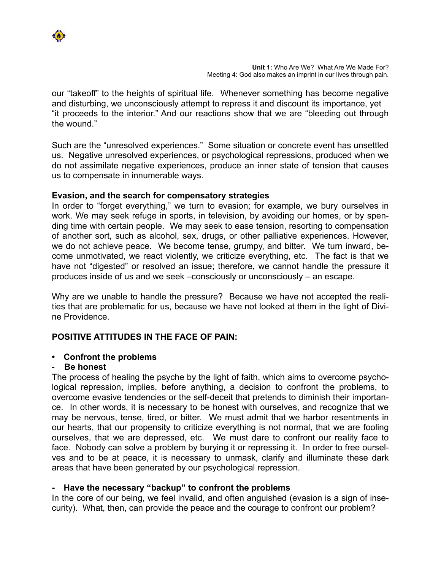

our "takeoff" to the heights of spiritual life. Whenever something has become negative and disturbing, we unconsciously attempt to repress it and discount its importance, yet "it proceeds to the interior." And our reactions show that we are "bleeding out through the wound."

Such are the "unresolved experiences." Some situation or concrete event has unsettled us. Negative unresolved experiences, or psychological repressions, produced when we do not assimilate negative experiences, produce an inner state of tension that causes us to compensate in innumerable ways.

## **Evasion, and the search for compensatory strategies**

In order to "forget everything," we turn to evasion; for example, we bury ourselves in work. We may seek refuge in sports, in television, by avoiding our homes, or by spending time with certain people. We may seek to ease tension, resorting to compensation of another sort, such as alcohol, sex, drugs, or other palliative experiences. However, we do not achieve peace. We become tense, grumpy, and bitter. We turn inward, become unmotivated, we react violently, we criticize everything, etc. The fact is that we have not "digested" or resolved an issue; therefore, we cannot handle the pressure it produces inside of us and we seek –consciously or unconsciously – an escape.

Why are we unable to handle the pressure? Because we have not accepted the realities that are problematic for us, because we have not looked at them in the light of Divine Providence.

## **POSITIVE ATTITUDES IN THE FACE OF PAIN:**

## **• Confront the problems**

## - **Be honest**

The process of healing the psyche by the light of faith, which aims to overcome psychological repression, implies, before anything, a decision to confront the problems, to overcome evasive tendencies or the self-deceit that pretends to diminish their importance. In other words, it is necessary to be honest with ourselves, and recognize that we may be nervous, tense, tired, or bitter. We must admit that we harbor resentments in our hearts, that our propensity to criticize everything is not normal, that we are fooling ourselves, that we are depressed, etc. We must dare to confront our reality face to face. Nobody can solve a problem by burying it or repressing it. In order to free ourselves and to be at peace, it is necessary to unmask, clarify and illuminate these dark areas that have been generated by our psychological repression.

## **- Have the necessary "backup" to confront the problems**

In the core of our being, we feel invalid, and often anguished (evasion is a sign of insecurity). What, then, can provide the peace and the courage to confront our problem?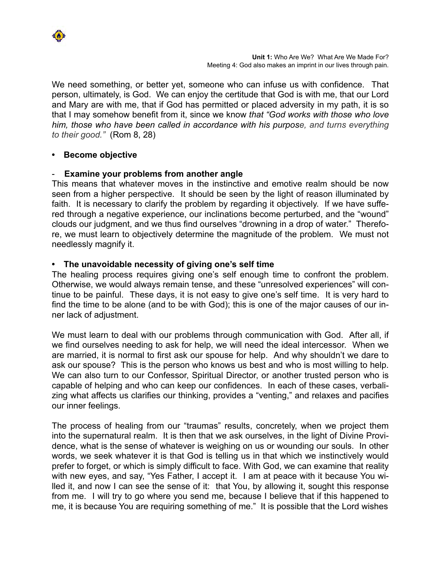

We need something, or better yet, someone who can infuse us with confidence. That person, ultimately, is God. We can enjoy the certitude that God is with me, that our Lord and Mary are with me, that if God has permitted or placed adversity in my path, it is so that I may somehow benefit from it, since we know *that ["God](http://www.catholic.org/encyclopedia/view.php?id=5217) works with those who love*  him, those who have been called in accordance with his purpose, and turns everything *to their good."* (Rom 8, 28)

## **• Become objective**

## **Examine your problems from another angle**

This means that whatever moves in the instinctive and emotive realm should be now seen from a higher perspective. It should be seen by the light of reason illuminated by faith. It is necessary to clarify the problem by regarding it objectively. If we have suffered through a negative experience, our inclinations become perturbed, and the "wound" clouds our judgment, and we thus find ourselves "drowning in a drop of water." Therefore, we must learn to objectively determine the magnitude of the problem. We must not needlessly magnify it.

## **• The unavoidable necessity of giving one's self time**

The healing process requires giving one's self enough time to confront the problem. Otherwise, we would always remain tense, and these "unresolved experiences" will continue to be painful. These days, it is not easy to give one's self time. It is very hard to find the time to be alone (and to be with God); this is one of the major causes of our inner lack of adjustment.

We must learn to deal with our problems through communication with God. After all, if we find ourselves needing to ask for help, we will need the ideal intercessor. When we are married, it is normal to first ask our spouse for help. And why shouldn't we dare to ask our spouse? This is the person who knows us best and who is most willing to help. We can also turn to our Confessor, Spiritual Director, or another trusted person who is capable of helping and who can keep our confidences. In each of these cases, verbalizing what affects us clarifies our thinking, provides a "venting," and relaxes and pacifies our inner feelings.

The process of healing from our "traumas" results, concretely, when we project them into the supernatural realm. It is then that we ask ourselves, in the light of Divine Providence, what is the sense of whatever is weighing on us or wounding our souls. In other words, we seek whatever it is that God is telling us in that which we instinctively would prefer to forget, or which is simply difficult to face. With God, we can examine that reality with new eyes, and say, "Yes Father, I accept it. I am at peace with it because You willed it, and now I can see the sense of it: that You, by allowing it, sought this response from me. I will try to go where you send me, because I believe that if this happened to me, it is because You are requiring something of me." It is possible that the Lord wishes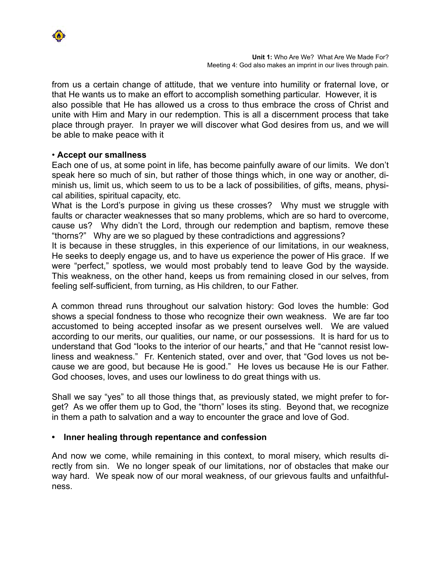

from us a certain change of attitude, that we venture into humility or fraternal love, or that He wants us to make an effort to accomplish something particular. However, it is also possible that He has allowed us a cross to thus embrace the cross of Christ and unite with Him and Mary in our redemption. This is all a discernment process that take place through prayer. In prayer we will discover what God desires from us, and we will be able to make peace with it

## • **Accept our smallness**

Each one of us, at some point in life, has become painfully aware of our limits. We don't speak here so much of sin, but rather of those things which, in one way or another, diminish us, limit us, which seem to us to be a lack of possibilities, of gifts, means, physical abilities, spiritual capacity, etc.

What is the Lord's purpose in giving us these crosses? Why must we struggle with faults or character weaknesses that so many problems, which are so hard to overcome, cause us? Why didn't the Lord, through our redemption and baptism, remove these "thorns?" Why are we so plagued by these contradictions and aggressions?

It is because in these struggles, in this experience of our limitations, in our weakness, He seeks to deeply engage us, and to have us experience the power of His grace. If we were "perfect," spotless, we would most probably tend to leave God by the wayside. This weakness, on the other hand, keeps us from remaining closed in our selves, from feeling self-sufficient, from turning, as His children, to our Father.

A common thread runs throughout our salvation history: God loves the humble: God shows a special fondness to those who recognize their own weakness. We are far too accustomed to being accepted insofar as we present ourselves well. We are valued according to our merits, our qualities, our name, or our possessions. It is hard for us to understand that God "looks to the interior of our hearts," and that He "cannot resist lowliness and weakness." Fr. Kentenich stated, over and over, that "God loves us not because we are good, but because He is good." He loves us because He is our Father. God chooses, loves, and uses our lowliness to do great things with us.

Shall we say "yes" to all those things that, as previously stated, we might prefer to forget? As we offer them up to God, the "thorn" loses its sting. Beyond that, we recognize in them a path to salvation and a way to encounter the grace and love of God.

## **• Inner healing through repentance and confession**

And now we come, while remaining in this context, to moral misery, which results directly from sin. We no longer speak of our limitations, nor of obstacles that make our way hard. We speak now of our moral weakness, of our grievous faults and unfaithfulness.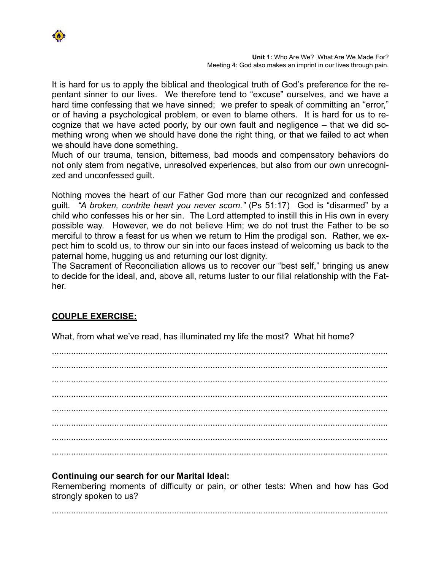

It is hard for us to apply the biblical and theological truth of God's preference for the repentant sinner to our lives. We therefore tend to "excuse" ourselves, and we have a hard time confessing that we have sinned; we prefer to speak of committing an "error," or of having a psychological problem, or even to blame others. It is hard for us to recognize that we have acted poorly, by our own fault and negligence – that we did something wrong when we should have done the right thing, or that we failed to act when we should have done something.

Much of our trauma, tension, bitterness, bad moods and compensatory behaviors do not only stem from negative, unresolved experiences, but also from our own unrecognized and unconfessed guilt.

Nothing moves the heart of our Father God more than our recognized and confessed guilt. *"A broken, contrite heart you never scorn."* (Ps 51:17) God is "disarmed" by a child who confesses his or her sin. The Lord attempted to instill this in His own in every possible way. However, we do not believe Him; we do not trust the Father to be so merciful to throw a feast for us when we return to Him the prodigal son. Rather, we expect him to scold us, to throw our sin into our faces instead of welcoming us back to the paternal home, hugging us and returning our lost dignity.

The Sacrament of Reconciliation allows us to recover our "best self," bringing us anew to decide for the ideal, and, above all, returns luster to our filial relationship with the Father.

## **COUPLE EXERCISE:**

What, from what we've read, has illuminated my life the most? What hit home?

............................................................................................................................................ ............................................................................................................................................ ............................................................................................................................................ ............................................................................................................................................ ............................................................................................................................................ ............................................................................................................................................ ............................................................................................................................................ ............................................................................................................................................

## **Continuing our search for our Marital Ideal:**

Remembering moments of difficulty or pain, or other tests: When and how has God strongly spoken to us?

............................................................................................................................................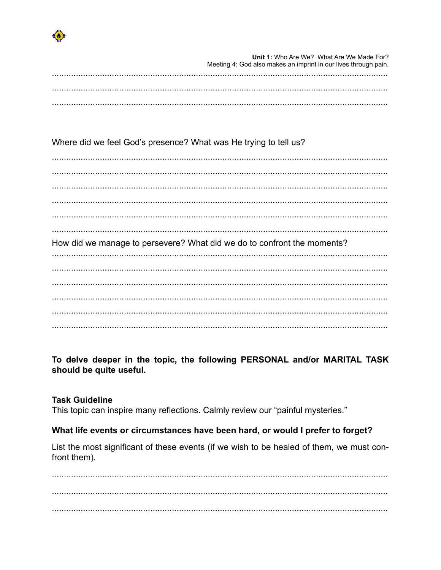

| Unit 1: Who Are We? What Are We Made For?<br>Meeting 4: God also makes an imprint in our lives through pain. |
|--------------------------------------------------------------------------------------------------------------|
|                                                                                                              |
|                                                                                                              |
|                                                                                                              |

Where did we feel God's presence? What was He trying to tell us?

How did we manage to persevere? What did we do to confront the moments? 

To delve deeper in the topic, the following PERSONAL and/or MARITAL TASK should be quite useful.

## **Task Guideline**

This topic can inspire many reflections. Calmly review our "painful mysteries."

## What life events or circumstances have been hard, or would I prefer to forget?

List the most significant of these events (if we wish to be healed of them, we must confront them).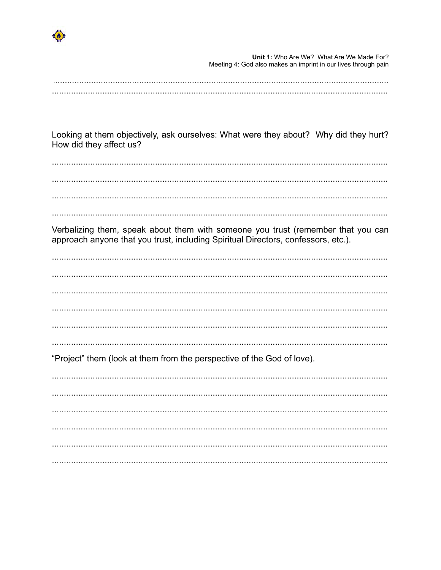

Looking at them objectively, ask ourselves: What were they about? Why did they hurt? How did they affect us?

Verbalizing them, speak about them with someone you trust (remember that you can approach anyone that you trust, including Spiritual Directors, confessors, etc.).

"Project" them (look at them from the perspective of the God of love).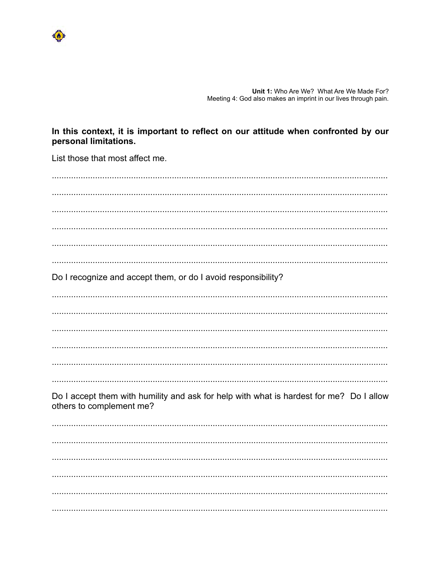

# In this context, it is important to reflect on our attitude when confronted by our personal limitations.

List those that most affect me.

| Do I recognize and accept them, or do I avoid responsibility?                                                       |
|---------------------------------------------------------------------------------------------------------------------|
|                                                                                                                     |
|                                                                                                                     |
|                                                                                                                     |
|                                                                                                                     |
|                                                                                                                     |
|                                                                                                                     |
|                                                                                                                     |
| Do I accept them with humility and ask for help with what is hardest for me? Do I allow<br>others to complement me? |
|                                                                                                                     |
|                                                                                                                     |
|                                                                                                                     |
|                                                                                                                     |
|                                                                                                                     |
|                                                                                                                     |
|                                                                                                                     |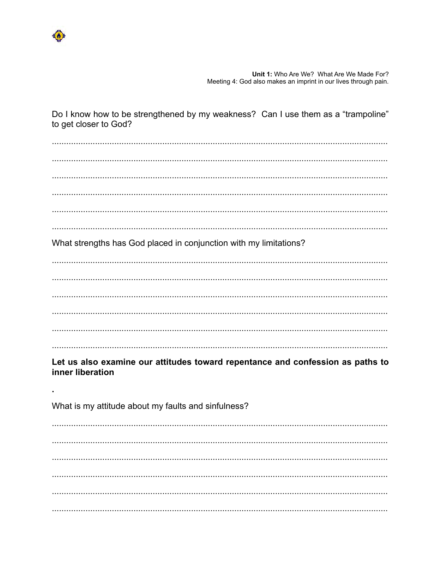

Do I know how to be strengthened by my weakness? Can I use them as a "trampoline" to get closer to God?

What strengths has God placed in conjunction with my limitations?

Let us also examine our attitudes toward repentance and confession as paths to inner liberation

What is my attitude about my faults and sinfulness?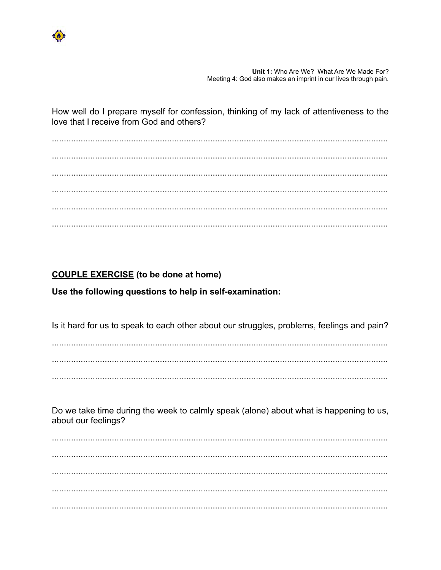

How well do I prepare myself for confession, thinking of my lack of attentiveness to the love that I receive from God and others?

## **COUPLE EXERCISE** (to be done at home)

## Use the following questions to help in self-examination:

Is it hard for us to speak to each other about our struggles, problems, feelings and pain?

Do we take time during the week to calmly speak (alone) about what is happening to us, about our feelings?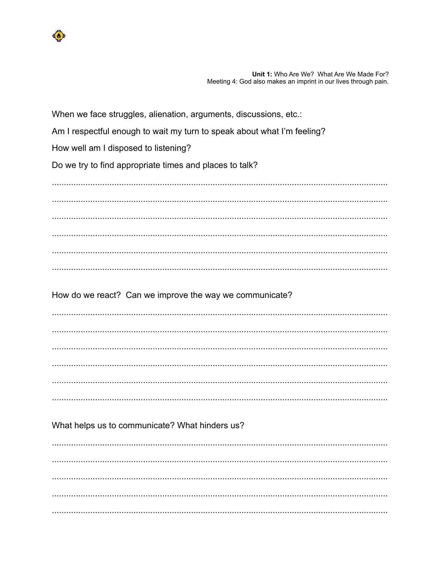

When we face struggles, alienation, arguments, discussions, etc.: Am I respectful enough to wait my turn to speak about what I'm feeling? How well am I disposed to listening? Do we try to find appropriate times and places to talk? How do we react? Can we improve the way we communicate? What helps us to communicate? What hinders us?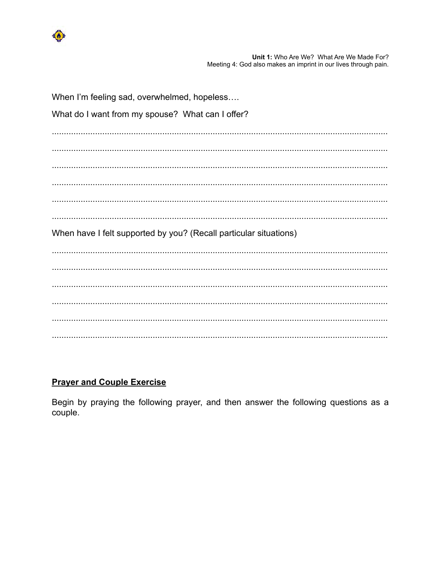

## **Prayer and Couple Exercise**

Begin by praying the following prayer, and then answer the following questions as a couple.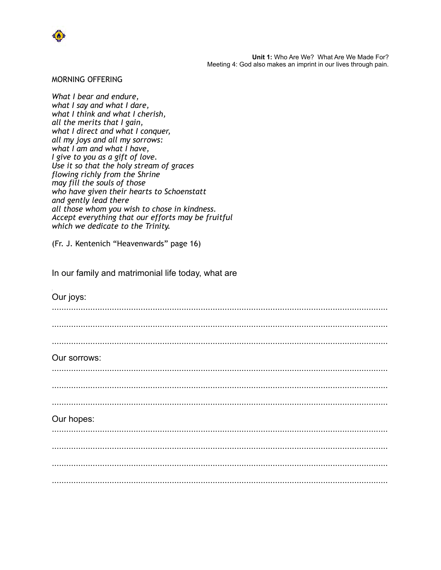

#### MORNING OFFERING

What I bear and endure, what I say and what I dare, what I think and what I cherish, all the merits that I gain, what I direct and what I conquer, all my joys and all my sorrows: what I am and what I have, I give to you as a gift of love. Use it so that the holy stream of graces flowing richly from the Shrine may fill the souls of those who have given their hearts to Schoenstatt and gently lead there all those whom you wish to chose in kindness. Accept everything that our efforts may be fruitful which we dedicate to the Trinity.

(Fr. J. Kentenich "Heavenwards" page 16)

In our family and matrimonial life today, what are

| Our joys:    |  |  |  |
|--------------|--|--|--|
|              |  |  |  |
|              |  |  |  |
|              |  |  |  |
| Our sorrows: |  |  |  |
|              |  |  |  |
|              |  |  |  |
|              |  |  |  |
| Our hopes:   |  |  |  |
|              |  |  |  |
|              |  |  |  |
|              |  |  |  |
|              |  |  |  |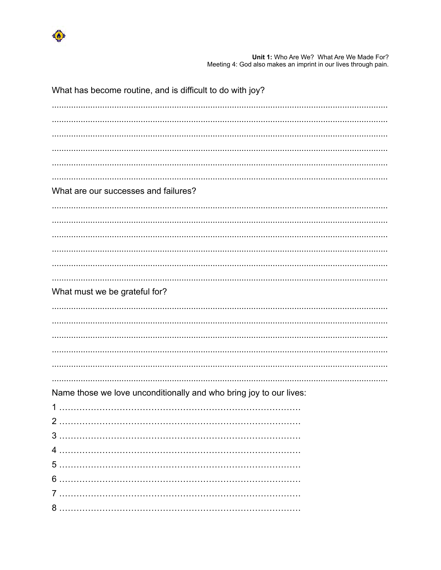

What has become routine, and is difficult to do with joy? What are our successes and failures? What must we be grateful for? Name those we love unconditionally and who bring joy to our lives: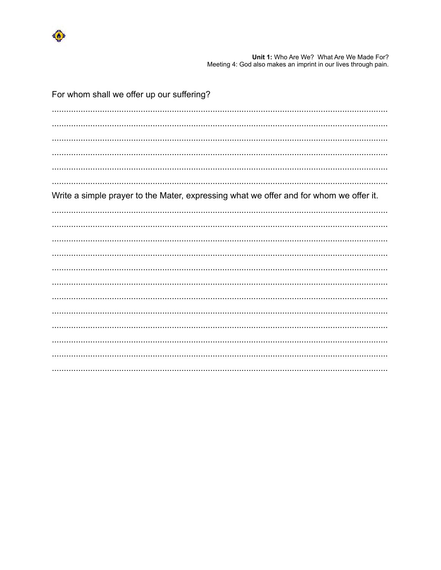

For whom shall we offer up our suffering? Write a simple prayer to the Mater, expressing what we offer and for whom we offer it.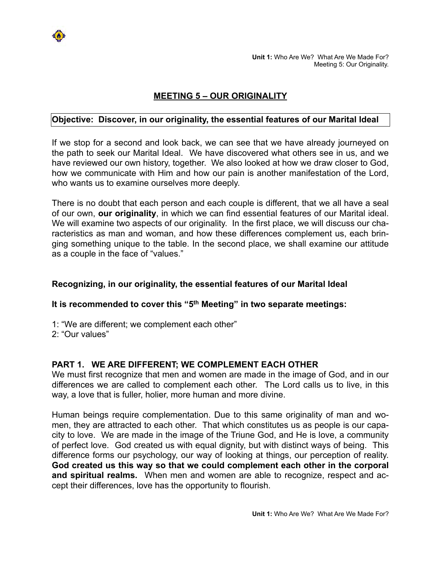

### **MEETING 5 – OUR ORIGINALITY**

### **Objective: Discover, in our originality, the essential features of our Marital Ideal**

If we stop for a second and look back, we can see that we have already journeyed on the path to seek our Marital Ideal. We have discovered what others see in us, and we have reviewed our own history, together. We also looked at how we draw closer to God, how we communicate with Him and how our pain is another manifestation of the Lord, who wants us to examine ourselves more deeply.

There is no doubt that each person and each couple is different, that we all have a seal of our own, **our originality**, in which we can find essential features of our Marital ideal. We will examine two aspects of our originality. In the first place, we will discuss our characteristics as man and woman, and how these differences complement us, each bringing something unique to the table. In the second place, we shall examine our attitude as a couple in the face of "values."

### **Recognizing, in our originality, the essential features of our Marital Ideal**

### **It is recommended to cover this "5th Meeting" in two separate meetings:**

- 1: "We are different; we complement each other"
- 2: "Our values"

# **PART 1. WE ARE DIFFERENT; WE COMPLEMENT EACH OTHER**

We must first recognize that men and women are made in the image of God, and in our differences we are called to complement each other. The Lord calls us to live, in this way, a love that is fuller, holier, more human and more divine.

Human beings require complementation. Due to this same originality of man and women, they are attracted to each other. That which constitutes us as people is our capacity to love. We are made in the image of the Triune God, and He is love, a community of perfect love. God created us with equal dignity, but with distinct ways of being. This difference forms our psychology, our way of looking at things, our perception of reality. **God created us this way so that we could complement each other in the corporal and spiritual realms.** When men and women are able to recognize, respect and accept their differences, love has the opportunity to flourish.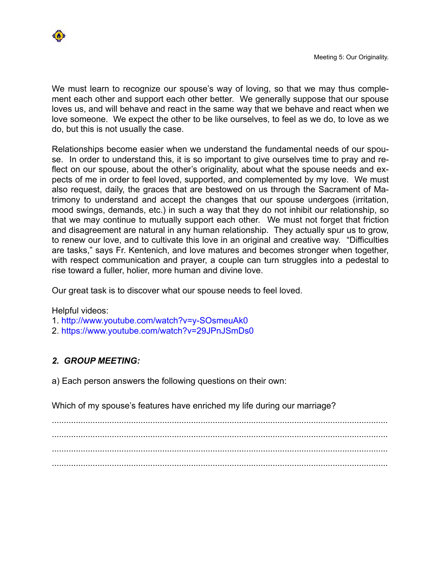

We must learn to recognize our spouse's way of loving, so that we may thus complement each other and support each other better. We generally suppose that our spouse loves us, and will behave and react in the same way that we behave and react when we love someone. We expect the other to be like ourselves, to feel as we do, to love as we do, but this is not usually the case.

Relationships become easier when we understand the fundamental needs of our spouse. In order to understand this, it is so important to give ourselves time to pray and reflect on our spouse, about the other's originality, about what the spouse needs and expects of me in order to feel loved, supported, and complemented by my love. We must also request, daily, the graces that are bestowed on us through the Sacrament of Matrimony to understand and accept the changes that our spouse undergoes (irritation, mood swings, demands, etc.) in such a way that they do not inhibit our relationship, so that we may continue to mutually support each other. We must not forget that friction and disagreement are natural in any human relationship. They actually spur us to grow, to renew our love, and to cultivate this love in an original and creative way. "Difficulties are tasks," says Fr. Kentenich, and love matures and becomes stronger when together, with respect communication and prayer, a couple can turn struggles into a pedestal to rise toward a fuller, holier, more human and divine love.

Our great task is to discover what our spouse needs to feel loved.

Helpful videos:

- 1. http://www.youtube.com/watch?v=y-SOsmeuAk0
- 2. https://www.youtube.com/watch?v=29JPnJSmDs0

# *2. GROUP MEETING:*

a) Each person answers the following questions on their own:

Which of my spouse's features have enriched my life during our marriage?

............................................................................................................................................ ............................................................................................................................................ ............................................................................................................................................ ............................................................................................................................................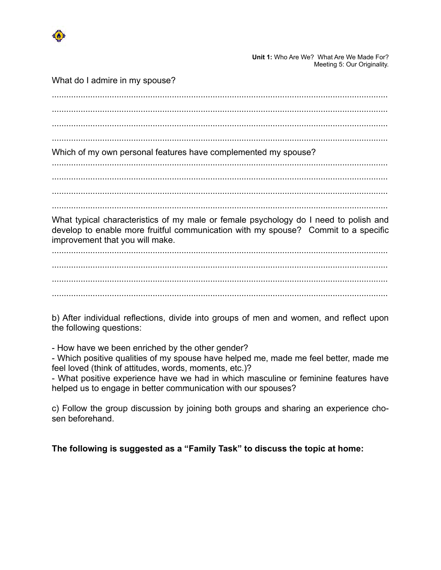

What do I admire in my spouse?

............................................................................................................................................ ............................................................................................................................................ ............................................................................................................................................ ............................................................................................................................................ Which of my own personal features have complemented my spouse? ............................................................................................................................................ ............................................................................................................................................ ............................................................................................................................................ ............................................................................................................................................ What typical characteristics of my male or female psychology do I need to polish and

develop to enable more fruitful communication with my spouse? Commit to a specific improvement that you will make.

............................................................................................................................................ ............................................................................................................................................ ............................................................................................................................................

b) After individual reflections, divide into groups of men and women, and reflect upon the following questions:

- How have we been enriched by the other gender?

- Which positive qualities of my spouse have helped me, made me feel better, made me feel loved (think of attitudes, words, moments, etc.)?

- What positive experience have we had in which masculine or feminine features have helped us to engage in better communication with our spouses?

c) Follow the group discussion by joining both groups and sharing an experience chosen beforehand.

**The following is suggested as a "Family Task" to discuss the topic at home:**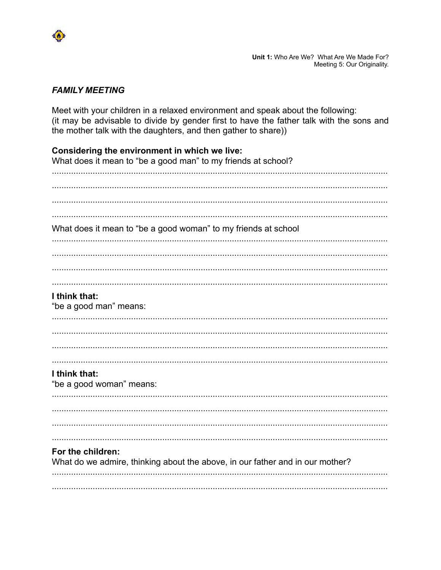

#### **FAMILY MEETING**

Meet with your children in a relaxed environment and speak about the following: (it may be advisable to divide by gender first to have the father talk with the sons and the mother talk with the daughters, and then gather to share))

| Considering the environment in which we live:<br>What does it mean to "be a good man" to my friends at school? |
|----------------------------------------------------------------------------------------------------------------|
|                                                                                                                |
| What does it mean to "be a good woman" to my friends at school                                                 |
|                                                                                                                |
| I think that:<br>"be a good man" means:                                                                        |
|                                                                                                                |
| I think that:<br>"be a good woman" means:                                                                      |
|                                                                                                                |
| For the children:<br>What do we admire, thinking about the above, in our father and in our mother?             |
|                                                                                                                |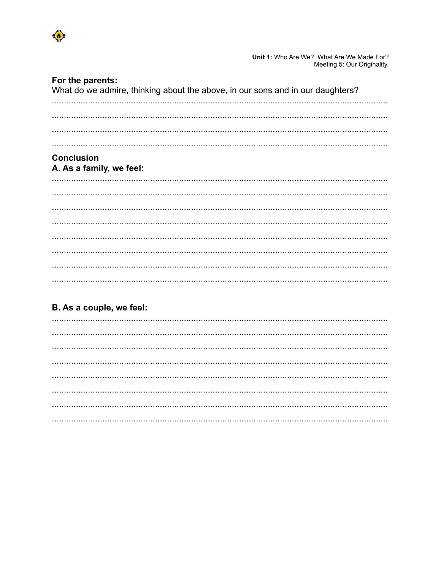

### For the parents:

What do we admire, thinking about the above, in our sons and in our daughters?

### **Conclusion** A. As a family, we feel:

### B. As a couple, we feel: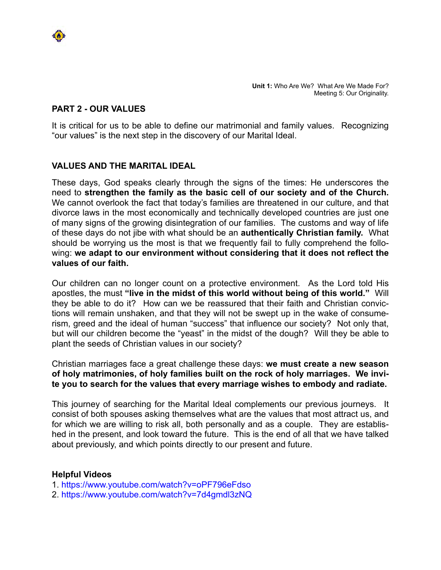

#### **PART 2 - OUR VALUES**

It is critical for us to be able to define our matrimonial and family values. Recognizing "our values" is the next step in the discovery of our Marital Ideal.

#### **VALUES AND THE MARITAL IDEAL**

These days, God speaks clearly through the signs of the times: He underscores the need to **strengthen the family as the basic cell of our society and of the Church.**  We cannot overlook the fact that today's families are threatened in our culture, and that divorce laws in the most economically and technically developed countries are just one of many signs of the growing disintegration of our families. The customs and way of life of these days do not jibe with what should be an **authentically Christian family.** What should be worrying us the most is that we frequently fail to fully comprehend the following: **we adapt to our environment without considering that it does not reflect the values of our faith.** 

Our children can no longer count on a protective environment. As the Lord told His apostles, the must **"live in the midst of this world without being of this world."** Will they be able to do it? How can we be reassured that their faith and Christian convictions will remain unshaken, and that they will not be swept up in the wake of consumerism, greed and the ideal of human "success" that influence our society? Not only that, but will our children become the "yeast" in the midst of the dough? Will they be able to plant the seeds of Christian values in our society?

Christian marriages face a great challenge these days: **we must create a new season of holy matrimonies, of holy families built on the rock of holy marriages. We invite you to search for the values that every marriage wishes to embody and radiate.** 

This journey of searching for the Marital Ideal complements our previous journeys. It consist of both spouses asking themselves what are the values that most attract us, and for which we are willing to risk all, both personally and as a couple. They are established in the present, and look toward the future. This is the end of all that we have talked about previously, and which points directly to our present and future.

#### **Helpful Videos**

- 1. https://www.youtube.com/watch?v=oPF796eFdso
- 2. https://www.youtube.com/watch?v=7d4gmdl3zNQ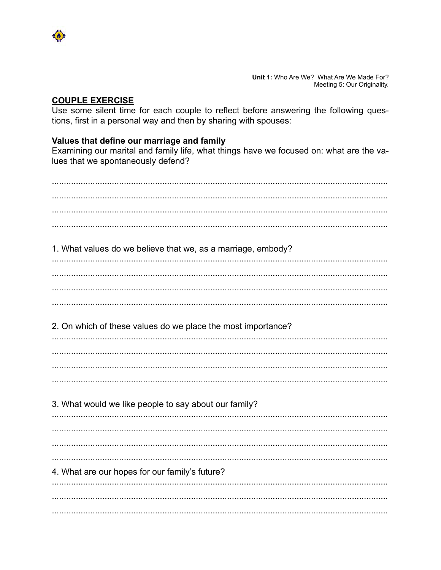

#### **COUPLE EXERCISE**

Use some silent time for each couple to reflect before answering the following questions, first in a personal way and then by sharing with spouses:

#### Values that define our marriage and family

Examining our marital and family life, what things have we focused on: what are the values that we spontaneously defend?

1. What values do we believe that we, as a marriage, embody? 2. On which of these values do we place the most importance? 3. What would we like people to say about our family? 4. What are our hopes for our family's future?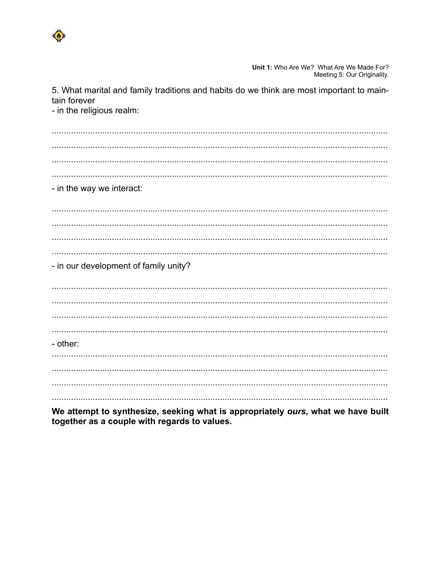

| 5. What marital and family traditions and habits do we think are most important to main-<br>tain forever<br>- in the religious realm: |
|---------------------------------------------------------------------------------------------------------------------------------------|
|                                                                                                                                       |
|                                                                                                                                       |
|                                                                                                                                       |
|                                                                                                                                       |
| - in the way we interact:                                                                                                             |
|                                                                                                                                       |
|                                                                                                                                       |
|                                                                                                                                       |
|                                                                                                                                       |
| - in our development of family unity?                                                                                                 |
|                                                                                                                                       |
|                                                                                                                                       |
|                                                                                                                                       |
|                                                                                                                                       |
| - other:                                                                                                                              |
|                                                                                                                                       |
|                                                                                                                                       |
|                                                                                                                                       |
| We attempt to synthesize, seeking what is appropriately ours, what we have built<br>together as a couple with regards to values.      |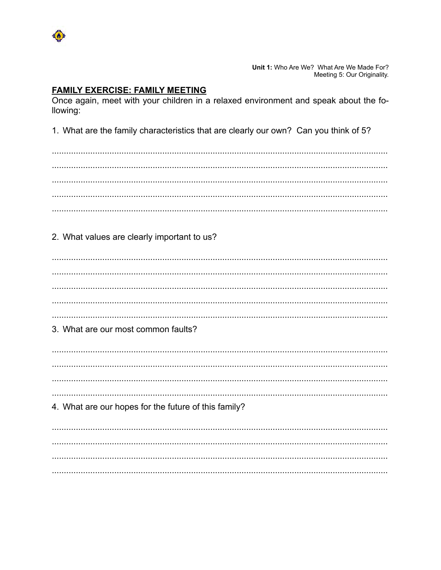

#### **FAMILY EXERCISE: FAMILY MEETING**

Once again, meet with your children in a relaxed environment and speak about the following:

1. What are the family characteristics that are clearly our own? Can you think of 5?

2. What values are clearly important to us?

3. What are our most common faults?

4. What are our hopes for the future of this family?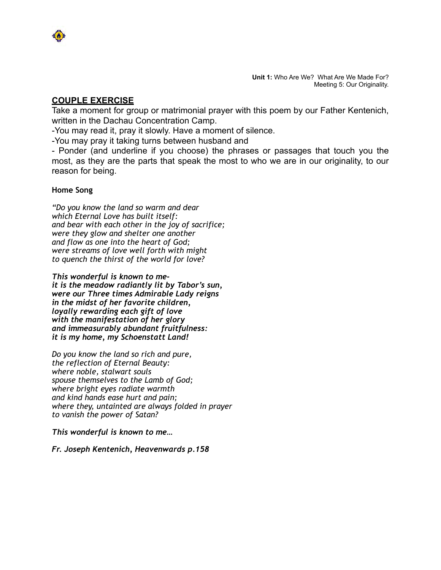

### **COUPLE EXERCISE**

Take a moment for group or matrimonial prayer with this poem by our Father Kentenich, written in the Dachau Concentration Camp.

-You may read it, pray it slowly. Have a moment of silence.

-You may pray it taking turns between husband and

- Ponder (and underline if you choose) the phrases or passages that touch you the most, as they are the parts that speak the most to who we are in our originality, to our reason for being.

#### **Home Song**

*"Do you know the land so warm and dear which Eternal Love has built itself: and bear with each other in the joy of sacrifice; were they glow and shelter one another and flow as one into the heart of God; were streams of love well forth with might to quench the thirst of the world for love?* 

*This wonderful is known to meit is the meadow radiantly lit by Tabor's sun, were our Three times Admirable Lady reigns in the midst of her favorite children, loyally rewarding each gift of love with the manifestation of her glory and immeasurably abundant fruitfulness: it is my home, my Schoenstatt Land!* 

*Do you know the land so rich and pure, the reflection of Eternal Beauty: where noble, stalwart souls spouse themselves to the Lamb of God; where bright eyes radiate warmth and kind hands ease hurt and pain; where they, untainted are always folded in prayer to vanish the power of Satan?* 

*This wonderful is known to me…* 

*Fr. Joseph Kentenich, Heavenwards p.158*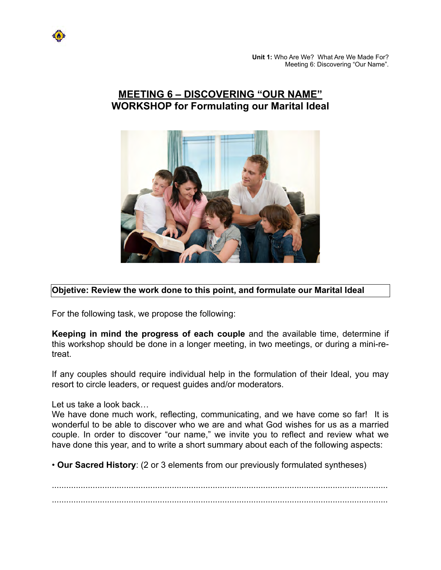

**Unit 1:** Who Are We? What Are We Made For? Meeting 6: Discovering "Our Name".

# **MEETING 6 – DISCOVERING "OUR NAME" WORKSHOP for Formulating our Marital Ideal**



**Objetive: Review the work done to this point, and formulate our Marital Ideal**

For the following task, we propose the following:

**Keeping in mind the progress of each couple** and the available time, determine if this workshop should be done in a longer meeting, in two meetings, or during a mini-retreat.

If any couples should require individual help in the formulation of their Ideal, you may resort to circle leaders, or request guides and/or moderators.

Let us take a look back…

We have done much work, reflecting, communicating, and we have come so far! It is wonderful to be able to discover who we are and what God wishes for us as a married couple. In order to discover "our name," we invite you to reflect and review what we have done this year, and to write a short summary about each of the following aspects:

• **Our Sacred History**: (2 or 3 elements from our previously formulated syntheses)

............................................................................................................................................ ............................................................................................................................................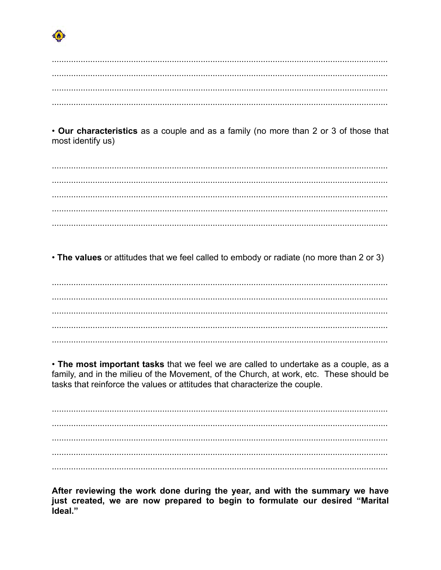

• Our characteristics as a couple and as a family (no more than 2 or 3 of those that most identify us)

• The values or attitudes that we feel called to embody or radiate (no more than 2 or 3)

. The most important tasks that we feel we are called to undertake as a couple, as a family, and in the milieu of the Movement, of the Church, at work, etc. These should be tasks that reinforce the values or attitudes that characterize the couple.

After reviewing the work done during the year, and with the summary we have just created, we are now prepared to begin to formulate our desired "Marital Ideal."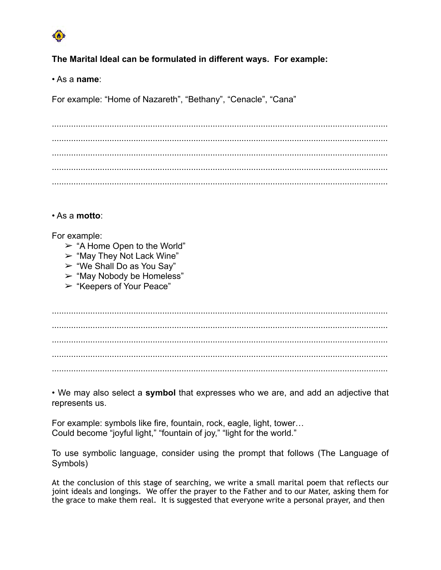

### **The Marital Ideal can be formulated in different ways. For example:**

• As a **name**:

For example: "Home of Nazareth", "Bethany", "Cenacle", "Cana"

............................................................................................................................................ ............................................................................................................................................ ............................................................................................................................................ ............................................................................................................................................ ............................................................................................................................................

#### • As a **motto**:

For example:

- $\geq$  "A Home Open to the World"
- $\blacktriangleright$  "May They Not Lack Wine"
- $\triangleright$  "We Shall Do as You Say"
- $\geq$  "May Nobody be Homeless"
- ➢ "Keepers of Your Peace"

............................................................................................................................................ ............................................................................................................................................ ............................................................................................................................................ ............................................................................................................................................

• We may also select a **symbol** that expresses who we are, and add an adjective that represents us.

For example: symbols like fire, fountain, rock, eagle, light, tower… Could become "joyful light," "fountain of joy," "light for the world."

To use symbolic language, consider using the prompt that follows (The Language of Symbols)

At the conclusion of this stage of searching, we write a small marital poem that reflects our joint ideals and longings. We offer the prayer to the Father and to our Mater, asking them for the grace to make them real. It is suggested that everyone write a personal prayer, and then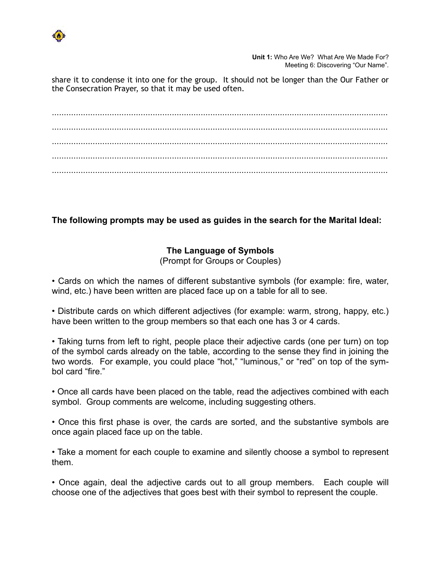

share it to condense it into one for the group. It should not be longer than the Our Father or the Consecration Prayer, so that it may be used often.

............................................................................................................................................ ............................................................................................................................................ ............................................................................................................................................ ............................................................................................................................................ ............................................................................................................................................

**The following prompts may be used as guides in the search for the Marital Ideal:**

### **The Language of Symbols**

(Prompt for Groups or Couples)

• Cards on which the names of different substantive symbols (for example: fire, water, wind, etc.) have been written are placed face up on a table for all to see.

• Distribute cards on which different adjectives (for example: warm, strong, happy, etc.) have been written to the group members so that each one has 3 or 4 cards.

• Taking turns from left to right, people place their adjective cards (one per turn) on top of the symbol cards already on the table, according to the sense they find in joining the two words. For example, you could place "hot," "luminous," or "red" on top of the symbol card "fire."

• Once all cards have been placed on the table, read the adjectives combined with each symbol. Group comments are welcome, including suggesting others.

• Once this first phase is over, the cards are sorted, and the substantive symbols are once again placed face up on the table.

• Take a moment for each couple to examine and silently choose a symbol to represent them.

• Once again, deal the adjective cards out to all group members. Each couple will choose one of the adjectives that goes best with their symbol to represent the couple.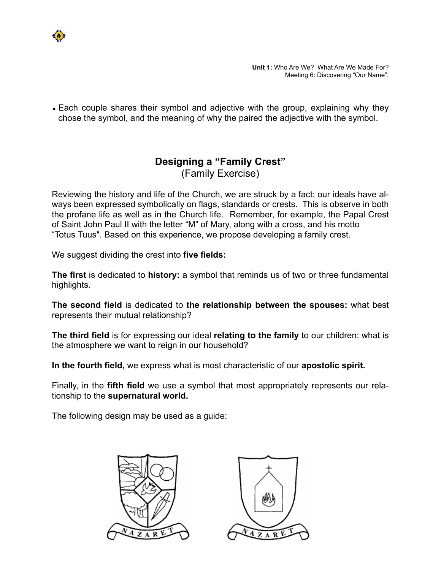

• Each couple shares their symbol and adjective with the group, explaining why they chose the symbol, and the meaning of why the paired the adjective with the symbol.

# **Designing a "Family Crest"** (Family Exercise)

Reviewing the history and life of the Church, we are struck by a fact: our ideals have always been expressed symbolically on flags, standards or crests. This is observe in both the profane life as well as in the Church life. Remember, for example, the Papal Crest of Saint John Paul II with the letter "M" of Mary, along with a cross, and his motto "Totus Tuus". Based on this experience, we propose developing a family crest.

We suggest dividing the crest into **five fields:**

**The first** is dedicated to **history:** a symbol that reminds us of two or three fundamental highlights.

**The second field** is dedicated to **the relationship between the spouses:** what best represents their mutual relationship?

**The third field** is for expressing our ideal **relating to the family** to our children: what is the atmosphere we want to reign in our household?

**In the fourth field,** we express what is most characteristic of our **apostolic spirit.** 

Finally, in the **fifth field** we use a symbol that most appropriately represents our relationship to the **supernatural world.**

The following design may be used as a guide:



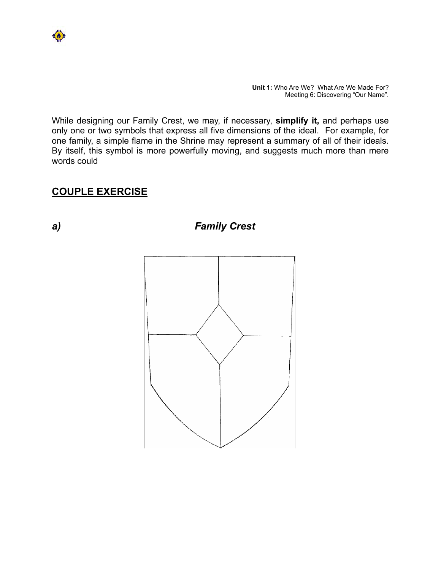

**Unit 1:** Who Are We? What Are We Made For? Meeting 6: Discovering "Our Name".

While designing our Family Crest, we may, if necessary, **simplify it,** and perhaps use only one or two symbols that express all five dimensions of the ideal. For example, for one family, a simple flame in the Shrine may represent a summary of all of their ideals. By itself, this symbol is more powerfully moving, and suggests much more than mere words could

# **COUPLE EXERCISE**

*a) Family Crest*

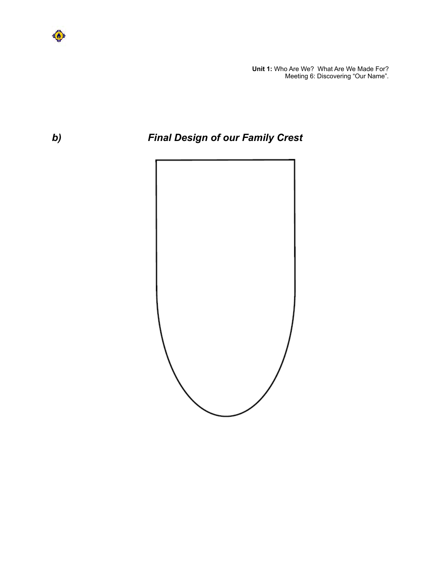**Unit 1:** Who Are We? What Are We Made For? Meeting 6: Discovering "Our Name".



# *b) Final Design of our Family Crest*



 $\left( \bullet \right)$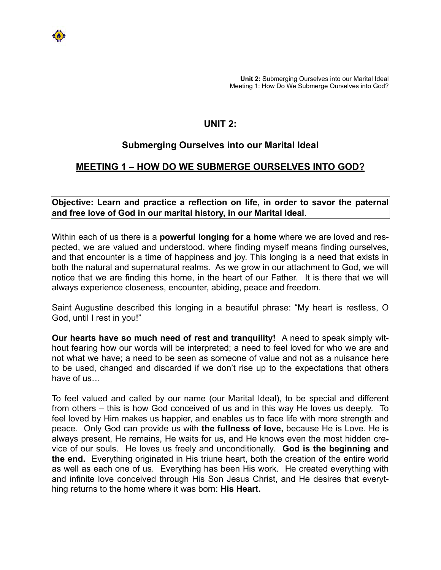# **UNIT 2:**

# **Submerging Ourselves into our Marital Ideal**

# **MEETING 1 – HOW DO WE SUBMERGE OURSELVES INTO GOD?**

**Objective: Learn and practice a reflection on life, in order to savor the paternal and free love of God in our marital history, in our Marital Ideal**.

Within each of us there is a **powerful longing for a home** where we are loved and respected, we are valued and understood, where finding myself means finding ourselves, and that encounter is a time of happiness and joy. This longing is a need that exists in both the natural and supernatural realms. As we grow in our attachment to God, we will notice that we are finding this home, in the heart of our Father. It is there that we will always experience closeness, encounter, abiding, peace and freedom.

Saint Augustine described this longing in a beautiful phrase: "My heart is restless, O God, until I rest in you!"

**Our hearts have so much need of rest and tranquility!** A need to speak simply without fearing how our words will be interpreted; a need to feel loved for who we are and not what we have; a need to be seen as someone of value and not as a nuisance here to be used, changed and discarded if we don't rise up to the expectations that others have of us…

To feel valued and called by our name (our Marital Ideal), to be special and different from others – this is how God conceived of us and in this way He loves us deeply. To feel loved by Him makes us happier, and enables us to face life with more strength and peace. Only God can provide us with **the fullness of love,** because He is Love. He is always present, He remains, He waits for us, and He knows even the most hidden crevice of our souls. He loves us freely and unconditionally. **God is the beginning and the end.** Everything originated in His triune heart, both the creation of the entire world as well as each one of us. Everything has been His work. He created everything with and infinite love conceived through His Son Jesus Christ, and He desires that everything returns to the home where it was born: **His Heart.**

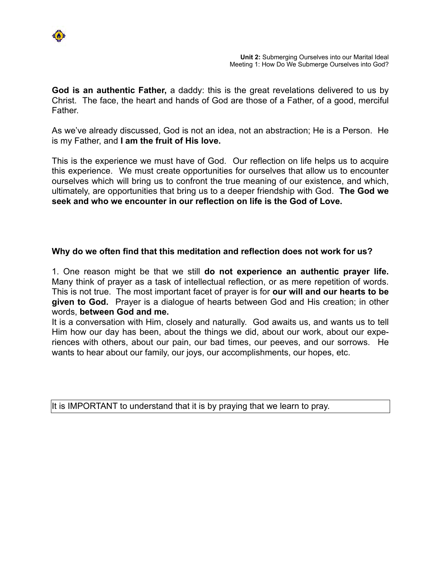

**God is an authentic Father,** a daddy: this is the great revelations delivered to us by Christ. The face, the heart and hands of God are those of a Father, of a good, merciful Father.

As we've already discussed, God is not an idea, not an abstraction; He is a Person. He is my Father, and **I am the fruit of His love.**

This is the experience we must have of God. Our reflection on life helps us to acquire this experience. We must create opportunities for ourselves that allow us to encounter ourselves which will bring us to confront the true meaning of our existence, and which, ultimately, are opportunities that bring us to a deeper friendship with God. **The God we seek and who we encounter in our reflection on life is the God of Love.**

### **Why do we often find that this meditation and reflection does not work for us?**

1. One reason might be that we still **do not experience an authentic prayer life.**  Many think of prayer as a task of intellectual reflection, or as mere repetition of words. This is not true. The most important facet of prayer is for **our will and our hearts to be given to God.** Prayer is a dialogue of hearts between God and His creation; in other words, **between God and me.** 

It is a conversation with Him, closely and naturally. God awaits us, and wants us to tell Him how our day has been, about the things we did, about our work, about our experiences with others, about our pain, our bad times, our peeves, and our sorrows. He wants to hear about our family, our joys, our accomplishments, our hopes, etc.

It is IMPORTANT to understand that it is by praying that we learn to pray.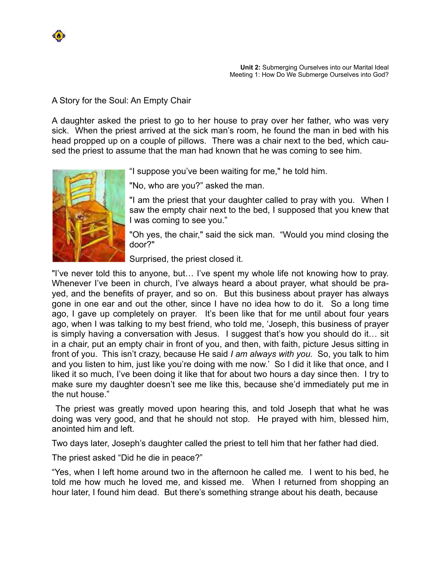

### A Story for the Soul: An Empty Chair

A daughter asked the priest to go to her house to pray over her father, who was very sick. When the priest arrived at the sick man's room, he found the man in bed with his head propped up on a couple of pillows. There was a chair next to the bed, which caused the priest to assume that the man had known that he was coming to see him.



"I suppose you've been waiting for me," he told him.

"No, who are you?" asked the man.

"I am the priest that your daughter called to pray with you. When I saw the empty chair next to the bed, I supposed that you knew that I was coming to see you."

"Oh yes, the chair," said the sick man. "Would you mind closing the door?"

Surprised, the priest closed it.

"I've never told this to anyone, but… I've spent my whole life not knowing how to pray. Whenever I've been in church, I've always heard a about prayer, what should be prayed, and the benefits of prayer, and so on. But this business about prayer has always gone in one ear and out the other, since I have no idea how to do it. So a long time ago, I gave up completely on prayer. It's been like that for me until about four years ago, when I was talking to my best friend, who told me, 'Joseph, this business of prayer is simply having a conversation with Jesus. I suggest that's how you should do it… sit in a chair, put an empty chair in front of you, and then, with faith, picture Jesus sitting in front of you. This isn't crazy, because He said *I am always with you.* So, you talk to him and you listen to him, just like you're doing with me now.' So I did it like that once, and I liked it so much, I've been doing it like that for about two hours a day since then. I try to make sure my daughter doesn't see me like this, because she'd immediately put me in the nut house."

 The priest was greatly moved upon hearing this, and told Joseph that what he was doing was very good, and that he should not stop. He prayed with him, blessed him, anointed him and left.

Two days later, Joseph's daughter called the priest to tell him that her father had died.

The priest asked "Did he die in peace?"

"Yes, when I left home around two in the afternoon he called me. I went to his bed, he told me how much he loved me, and kissed me. When I returned from shopping an hour later, I found him dead. But there's something strange about his death, because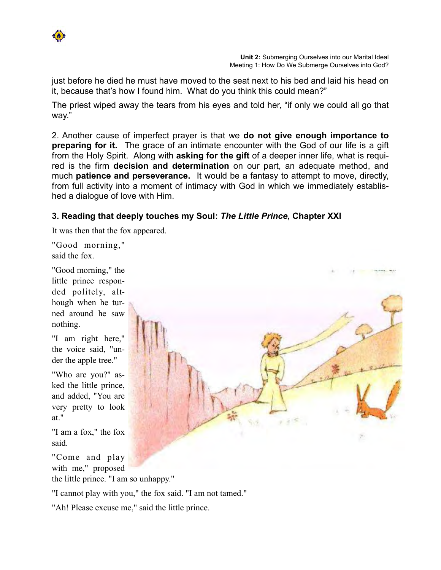

just before he died he must have moved to the seat next to his bed and laid his head on it, because that's how I found him. What do you think this could mean?"

The priest wiped away the tears from his eyes and told her, "if only we could all go that way."

2. Another cause of imperfect prayer is that we **do not give enough importance to preparing for it.** The grace of an intimate encounter with the God of our life is a gift from the Holy Spirit. Along with **asking for the gift** of a deeper inner life, what is required is the firm **decision and determination** on our part, an adequate method, and much **patience and perseverance.** It would be a fantasy to attempt to move, directly, from full activity into a moment of intimacy with God in which we immediately established a dialogue of love with Him.

### **3. Reading that deeply touches my Soul:** *The Little Prince***, Chapter XXI**

It was then that the fox appeared.

"Good morning," said the fox.

"Good morning," the little prince responded politely, although when he turned around he saw nothing.

"I am right here," the voice said, "under the apple tree."

"Who are you?" asked the little prince, and added, "You are very pretty to look at."

"I am a fox," the fox said.

"Come and play with me," proposed the little prince. "I am so unhappy."

"I cannot play with you," the fox said. "I am not tamed."

"Ah! Please excuse me," said the little prince.

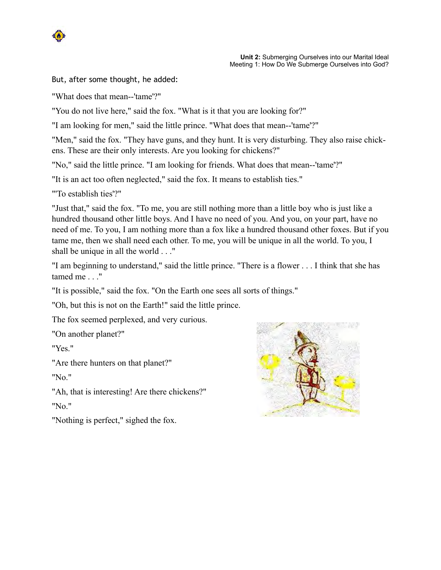

But, after some thought, he added:

"What does that mean--'tame'?"

"You do not live here," said the fox. "What is it that you are looking for?"

"I am looking for men," said the little prince. "What does that mean--'tame'?"

"Men," said the fox. "They have guns, and they hunt. It is very disturbing. They also raise chickens. These are their only interests. Are you looking for chickens?"

"No," said the little prince. "I am looking for friends. What does that mean--'tame'?"

"It is an act too often neglected," said the fox. It means to establish ties."

"'To establish ties'?"

"Just that," said the fox. "To me, you are still nothing more than a little boy who is just like a hundred thousand other little boys. And I have no need of you. And you, on your part, have no need of me. To you, I am nothing more than a fox like a hundred thousand other foxes. But if you tame me, then we shall need each other. To me, you will be unique in all the world. To you, I shall be unique in all the world . . ."

"I am beginning to understand," said the little prince. "There is a flower . . . I think that she has tamed me . . ."

"It is possible," said the fox. "On the Earth one sees all sorts of things."

"Oh, but this is not on the Earth!" said the little prince.

The fox seemed perplexed, and very curious.

"On another planet?"

"Yes."

"Are there hunters on that planet?"

"No."

"Ah, that is interesting! Are there chickens?" "No."

"Nothing is perfect," sighed the fox.

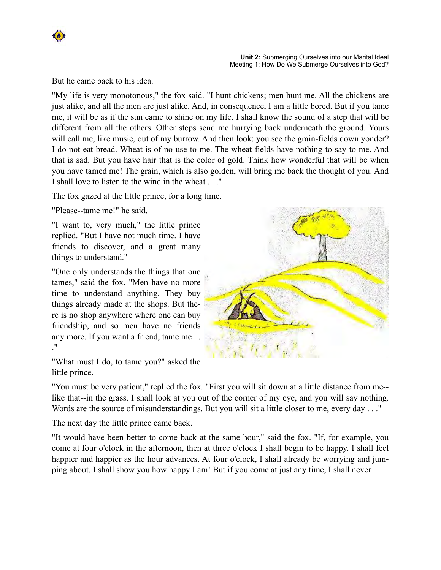

But he came back to his idea.

"My life is very monotonous," the fox said. "I hunt chickens; men hunt me. All the chickens are just alike, and all the men are just alike. And, in consequence, I am a little bored. But if you tame me, it will be as if the sun came to shine on my life. I shall know the sound of a step that will be different from all the others. Other steps send me hurrying back underneath the ground. Yours will call me, like music, out of my burrow. And then look: you see the grain-fields down yonder? I do not eat bread. Wheat is of no use to me. The wheat fields have nothing to say to me. And that is sad. But you have hair that is the color of gold. Think how wonderful that will be when you have tamed me! The grain, which is also golden, will bring me back the thought of you. And I shall love to listen to the wind in the wheat . . ."

The fox gazed at the little prince, for a long time.

"Please--tame me!" he said.

"I want to, very much," the little prince replied. "But I have not much time. I have friends to discover, and a great many things to understand."

"One only understands the things that one tames," said the fox. "Men have no more time to understand anything. They buy things already made at the shops. But there is no shop anywhere where one can buy friendship, and so men have no friends any more. If you want a friend, tame me . . ."



"What must I do, to tame you?" asked the little prince.

"You must be very patient," replied the fox. "First you will sit down at a little distance from me- like that--in the grass. I shall look at you out of the corner of my eye, and you will say nothing. Words are the source of misunderstandings. But you will sit a little closer to me, every day . . ."

The next day the little prince came back.

"It would have been better to come back at the same hour," said the fox. "If, for example, you come at four o'clock in the afternoon, then at three o'clock I shall begin to be happy. I shall feel happier and happier as the hour advances. At four o'clock, I shall already be worrying and jumping about. I shall show you how happy I am! But if you come at just any time, I shall never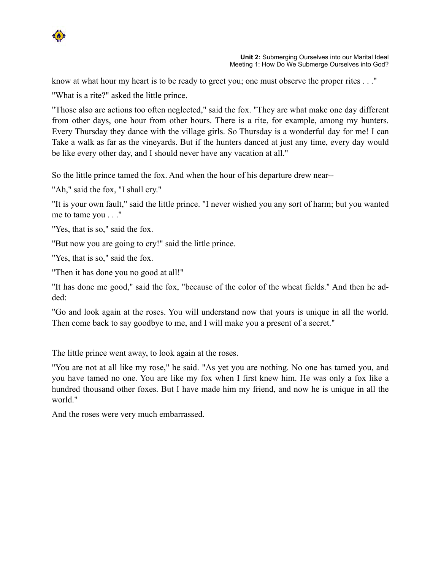

know at what hour my heart is to be ready to greet you; one must observe the proper rites . . ."

"What is a rite?" asked the little prince.

"Those also are actions too often neglected," said the fox. "They are what make one day different from other days, one hour from other hours. There is a rite, for example, among my hunters. Every Thursday they dance with the village girls. So Thursday is a wonderful day for me! I can Take a walk as far as the vineyards. But if the hunters danced at just any time, every day would be like every other day, and I should never have any vacation at all."

So the little prince tamed the fox. And when the hour of his departure drew near--

"Ah," said the fox, "I shall cry."

"It is your own fault," said the little prince. "I never wished you any sort of harm; but you wanted me to tame you . . ."

"Yes, that is so," said the fox.

"But now you are going to cry!" said the little prince.

"Yes, that is so," said the fox.

"Then it has done you no good at all!"

"It has done me good," said the fox, "because of the color of the wheat fields." And then he added:

"Go and look again at the roses. You will understand now that yours is unique in all the world. Then come back to say goodbye to me, and I will make you a present of a secret."

The little prince went away, to look again at the roses.

"You are not at all like my rose," he said. "As yet you are nothing. No one has tamed you, and you have tamed no one. You are like my fox when I first knew him. He was only a fox like a hundred thousand other foxes. But I have made him my friend, and now he is unique in all the world "

And the roses were very much embarrassed.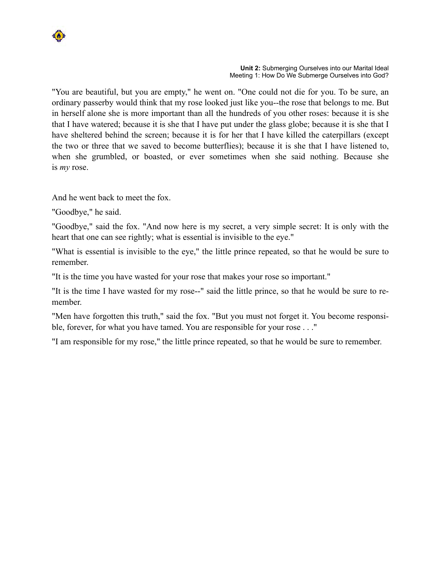

**Unit 2:** Submerging Ourselves into our Marital Ideal Meeting 1: How Do We Submerge Ourselves into God?

"You are beautiful, but you are empty," he went on. "One could not die for you. To be sure, an ordinary passerby would think that my rose looked just like you--the rose that belongs to me. But in herself alone she is more important than all the hundreds of you other roses: because it is she that I have watered; because it is she that I have put under the glass globe; because it is she that I have sheltered behind the screen; because it is for her that I have killed the caterpillars (except the two or three that we saved to become butterflies); because it is she that I have listened to, when she grumbled, or boasted, or ever sometimes when she said nothing. Because she is *my* rose.

And he went back to meet the fox.

"Goodbye," he said.

"Goodbye," said the fox. "And now here is my secret, a very simple secret: It is only with the heart that one can see rightly; what is essential is invisible to the eye."

"What is essential is invisible to the eye," the little prince repeated, so that he would be sure to remember.

"It is the time you have wasted for your rose that makes your rose so important."

"It is the time I have wasted for my rose--" said the little prince, so that he would be sure to remember.

"Men have forgotten this truth," said the fox. "But you must not forget it. You become responsible, forever, for what you have tamed. You are responsible for your rose . . ."

"I am responsible for my rose," the little prince repeated, so that he would be sure to remember.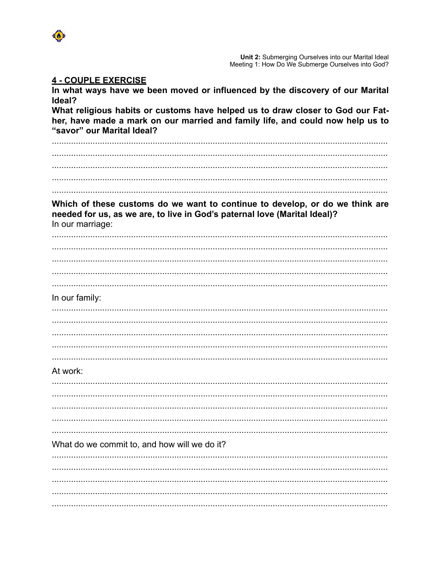

#### **4 - COUPLE EXERCISE**

In what ways have we been moved or influenced by the discovery of our Marital Ideal?

What religious habits or customs have helped us to draw closer to God our Father, have made a mark on our married and family life, and could now help us to "savor" our Marital Ideal?

#### Which of these customs do we want to continue to develop, or do we think are needed for us, as we are, to live in God's paternal love (Marital Ideal)? In our marriage:

| In our family:                               |
|----------------------------------------------|
|                                              |
|                                              |
|                                              |
|                                              |
|                                              |
|                                              |
| At work:                                     |
|                                              |
|                                              |
|                                              |
|                                              |
|                                              |
| What do we commit to, and how will we do it? |
|                                              |
|                                              |
|                                              |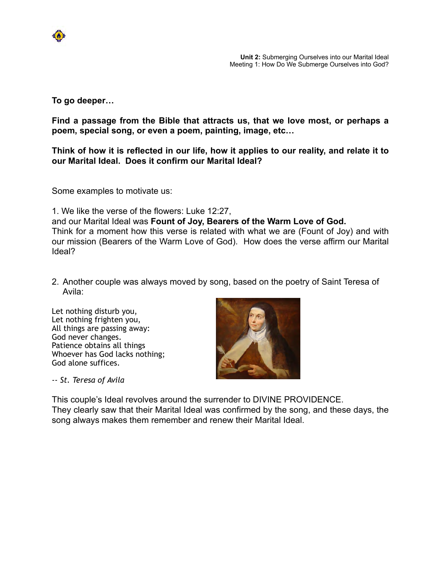

**To go deeper…**

**Find a passage from the Bible that attracts us, that we love most, or perhaps a poem, special song, or even a poem, painting, image, etc…**

**Think of how it is reflected in our life, how it applies to our reality, and relate it to our Marital Ideal. Does it confirm our Marital Ideal?**

Some examples to motivate us:

1. We like the verse of the flowers: Luke 12:27,

and our Marital Ideal was **Fount of Joy, Bearers of the Warm Love of God.** Think for a moment how this verse is related with what we are (Fount of Joy) and with our mission (Bearers of the Warm Love of God). How does the verse affirm our Marital Ideal?

2. Another couple was always moved by song, based on the poetry of Saint Teresa of Avila:

Let nothing disturb you, Let nothing frighten you, All things are passing away: God never changes. Patience obtains all things Whoever has God lacks nothing; God alone suffices.



*-- St. Teresa of Avila*

This couple's Ideal revolves around the surrender to DIVINE PROVIDENCE. They clearly saw that their Marital Ideal was confirmed by the song, and these days, the song always makes them remember and renew their Marital Ideal.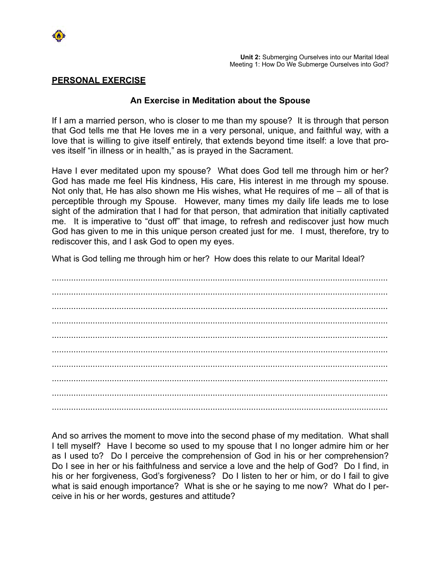

#### **PERSONAL EXERCISE**

#### **An Exercise in Meditation about the Spouse**

If I am a married person, who is closer to me than my spouse? It is through that person that God tells me that He loves me in a very personal, unique, and faithful way, with a love that is willing to give itself entirely, that extends beyond time itself: a love that proves itself "in illness or in health," as is prayed in the Sacrament.

Have I ever meditated upon my spouse? What does God tell me through him or her? God has made me feel His kindness, His care, His interest in me through my spouse. Not only that, He has also shown me His wishes, what He requires of me – all of that is perceptible through my Spouse. However, many times my daily life leads me to lose sight of the admiration that I had for that person, that admiration that initially captivated me. It is imperative to "dust off" that image, to refresh and rediscover just how much God has given to me in this unique person created just for me. I must, therefore, try to rediscover this, and I ask God to open my eyes.

What is God telling me through him or her? How does this relate to our Marital Ideal?

............................................................................................................................................ ............................................................................................................................................ ............................................................................................................................................ ............................................................................................................................................ ............................................................................................................................................ ............................................................................................................................................ ............................................................................................................................................ ............................................................................................................................................ ............................................................................................................................................ ............................................................................................................................................

And so arrives the moment to move into the second phase of my meditation. What shall I tell myself? Have I become so used to my spouse that I no longer admire him or her as I used to? Do I perceive the comprehension of God in his or her comprehension? Do I see in her or his faithfulness and service a love and the help of God? Do I find, in his or her forgiveness, God's forgiveness? Do I listen to her or him, or do I fail to give what is said enough importance? What is she or he saying to me now? What do I perceive in his or her words, gestures and attitude?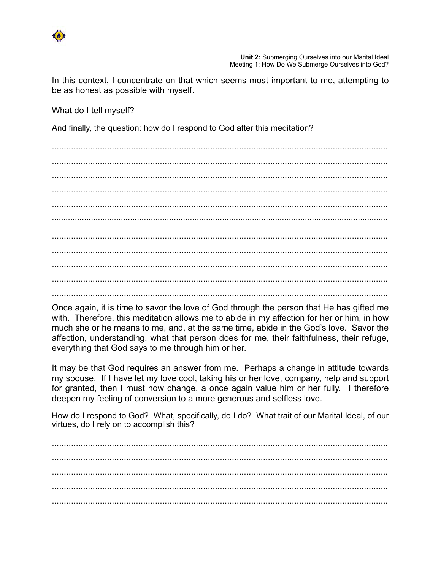

In this context, I concentrate on that which seems most important to me, attempting to be as honest as possible with myself.

What do I tell myself?

And finally, the question: how do I respond to God after this meditation?

Once again, it is time to savor the love of God through the person that He has gifted me with. Therefore, this meditation allows me to abide in my affection for her or him, in how much she or he means to me, and, at the same time, abide in the God's love. Savor the affection, understanding, what that person does for me, their faithfulness, their refuge, everything that God says to me through him or her.

It may be that God requires an answer from me. Perhaps a change in attitude towards my spouse. If I have let my love cool, taking his or her love, company, help and support for granted, then I must now change, a once again value him or her fully. I therefore deepen my feeling of conversion to a more generous and selfless love.

How do I respond to God? What, specifically, do I do? What trait of our Marital Ideal, of our virtues, do I rely on to accomplish this?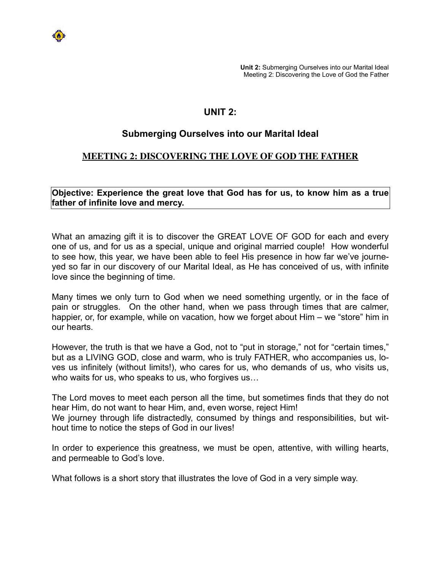

**Unit 2:** Submerging Ourselves into our Marital Ideal Meeting 2: Discovering the Love of God the Father

# **UNIT 2:**

# **Submerging Ourselves into our Marital Ideal**

### **MEETING 2: DISCOVERING THE LOVE OF GOD THE FATHER**

**Objective: Experience the great love that God has for us, to know him as a true father of infinite love and mercy.**

What an amazing gift it is to discover the GREAT LOVE OF GOD for each and every one of us, and for us as a special, unique and original married couple! How wonderful to see how, this year, we have been able to feel His presence in how far we've journeyed so far in our discovery of our Marital Ideal, as He has conceived of us, with infinite love since the beginning of time.

Many times we only turn to God when we need something urgently, or in the face of pain or struggles. On the other hand, when we pass through times that are calmer, happier, or, for example, while on vacation, how we forget about Him – we "store" him in our hearts.

However, the truth is that we have a God, not to "put in storage," not for "certain times," but as a LIVING GOD, close and warm, who is truly FATHER, who accompanies us, loves us infinitely (without limits!), who cares for us, who demands of us, who visits us, who waits for us, who speaks to us, who forgives us…

The Lord moves to meet each person all the time, but sometimes finds that they do not hear Him, do not want to hear Him, and, even worse, reject Him! We journey through life distractedly, consumed by things and responsibilities, but without time to notice the steps of God in our lives!

In order to experience this greatness, we must be open, attentive, with willing hearts, and permeable to God's love.

What follows is a short story that illustrates the love of God in a very simple way.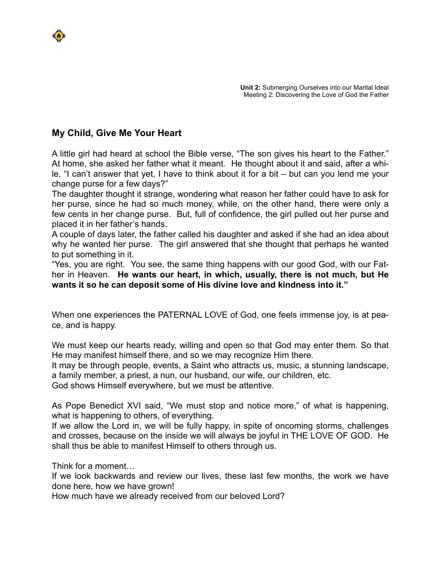# **My Child, Give Me Your Heart**

A little girl had heard at school the Bible verse, "The son gives his heart to the Father." At home, she asked her father what it meant. He thought about it and said, after a while, "I can't answer that yet, I have to think about it for a bit – but can you lend me your change purse for a few days?"

The daughter thought it strange, wondering what reason her father could have to ask for her purse, since he had so much money, while, on the other hand, there were only a few cents in her change purse. But, full of confidence, the girl pulled out her purse and placed it in her father's hands.

A couple of days later, the father called his daughter and asked if she had an idea about why he wanted her purse. The girl answered that she thought that perhaps he wanted to put something in it.

"Yes, you are right. You see, the same thing happens with our good God, with our Father in Heaven. **He wants our heart, in which, usually, there is not much, but He wants it so he can deposit some of His divine love and kindness into it."**

When one experiences the PATERNAL LOVE of God, one feels immense joy, is at peace, and is happy.

We must keep our hearts ready, willing and open so that God may enter them. So that He may manifest himself there, and so we may recognize Him there.

It may be through people, events, a Saint who attracts us, music, a stunning landscape, a family member, a priest, a nun, our husband, our wife, our children, etc.

God shows Himself everywhere, but we must be attentive.

As Pope Benedict XVI said, "We must stop and notice more," of what is happening, what is happening to others, of everything.

If we allow the Lord in, we will be fully happy, in spite of oncoming storms, challenges and crosses, because on the inside we will always be joyful in THE LOVE OF GOD. He shall thus be able to manifest Himself to others through us.

Think for a moment…

If we look backwards and review our lives, these last few months, the work we have done here, how we have grown!

How much have we already received from our beloved Lord?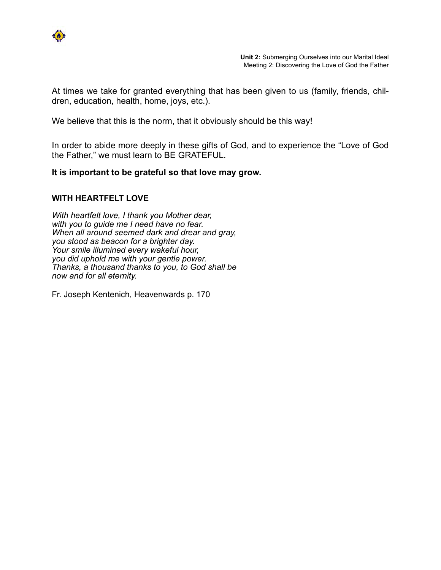

At times we take for granted everything that has been given to us (family, friends, children, education, health, home, joys, etc.).

We believe that this is the norm, that it obviously should be this way!

In order to abide more deeply in these gifts of God, and to experience the "Love of God the Father," we must learn to BE GRATEFUL.

#### **It is important to be grateful so that love may grow.**

#### **WITH HEARTFELT LOVE**

*With heartfelt love, I thank you Mother dear, with you to guide me I need have no fear. When all around seemed dark and drear and gray, you stood as beacon for a brighter day. Your smile illumined every wakeful hour, you did uphold me with your gentle power. Thanks, a thousand thanks to you, to God shall be now and for all eternity.*

Fr. Joseph Kentenich, Heavenwards p. 170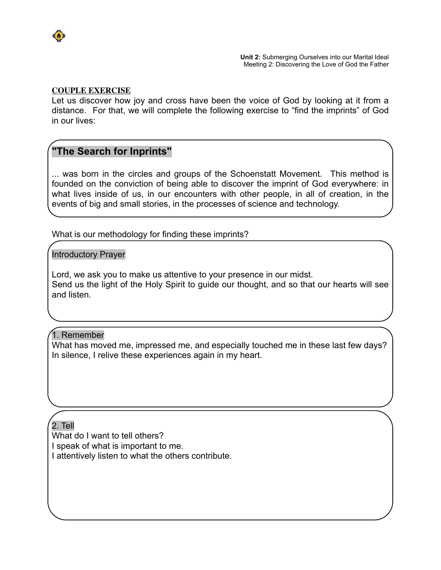

#### **COUPLE EXERCISE**

Let us discover how joy and cross have been the voice of God by looking at it from a distance. For that, we will complete the following exercise to "find the imprints" of God in our lives:

# **"The Search for Inprints"**

... was born in the circles and groups of the Schoenstatt Movement. This method is founded on the conviction of being able to discover the imprint of God everywhere: in what lives inside of us, in our encounters with other people, in all of creation, in the events of big and small stories, in the processes of science and technology.

What is our methodology for finding these imprints?

#### Introductory Prayer

Lord, we ask you to make us attentive to your presence in our midst. Send us the light of the Holy Spirit to guide our thought, and so that our hearts will see and listen.

#### 1. Remember

What has moved me, impressed me, and especially touched me in these last few days? In silence, I relive these experiences again in my heart.

### 2. Tell

What do I want to tell others? I speak of what is important to me. I attentively listen to what the others contribute.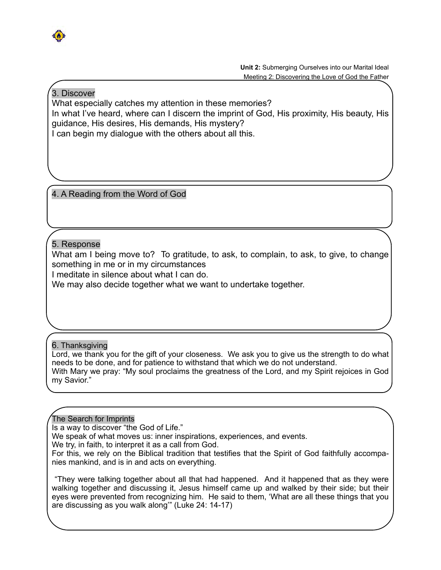

# 3. Discover

What especially catches my attention in these memories? In what I've heard, where can I discern the imprint of God, His proximity, His beauty, His guidance, His desires, His demands, His mystery? I can begin my dialogue with the others about all this.

4. A Reading from the Word of God

# 5. Response

What am I being move to? To gratitude, to ask, to complain, to ask, to give, to change something in me or in my circumstances

I meditate in silence about what I can do.

We may also decide together what we want to undertake together.

### 6. Thanksgiving

Lord, we thank you for the gift of your closeness. We ask you to give us the strength to do what needs to be done, and for patience to withstand that which we do not understand. With Mary we pray: "My soul proclaims the greatness of the Lord, and my Spirit rejoices in God my Savior."

### The Search for Imprints

Is a way to discover "the God of Life."

We speak of what moves us: inner inspirations, experiences, and events.

We try, in faith, to interpret it as a call from God.

For this, we rely on the Biblical tradition that testifies that the Spirit of God faithfully accompanies mankind, and is in and acts on everything.

 "They were talking together about all that had happened. And it happened that as they were walking together and discussing it, Jesus himself came up and walked by their side; but their eyes were prevented from recognizing him. He said to them, 'What are all these things that you are discussing as you walk along'" (Luke 24: 14-17)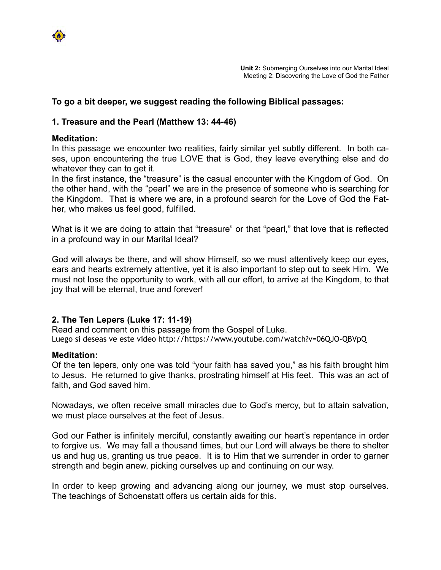

### **To go a bit deeper, we suggest reading the following Biblical passages:**

#### **1. Treasure and the Pearl (Matthew 13: 44-46)**

#### **Meditation:**

In this passage we encounter two realities, fairly similar yet subtly different. In both cases, upon encountering the true LOVE that is God, they leave everything else and do whatever they can to get it.

In the first instance, the "treasure" is the casual encounter with the Kingdom of God. On the other hand, with the "pearl" we are in the presence of someone who is searching for the Kingdom. That is where we are, in a profound search for the Love of God the Father, who makes us feel good, fulfilled.

What is it we are doing to attain that "treasure" or that "pearl," that love that is reflected in a profound way in our Marital Ideal?

God will always be there, and will show Himself, so we must attentively keep our eyes, ears and hearts extremely attentive, yet it is also important to step out to seek Him. We must not lose the opportunity to work, with all our effort, to arrive at the Kingdom, to that joy that will be eternal, true and forever!

### **2. The Ten Lepers (Luke 17: 11-19)**

Read and comment on this passage from the Gospel of Luke. Luego si deseas ve este video http://https://www.youtube.com/watch?v=06QJO-QBVpQ

#### **Meditation:**

Of the ten lepers, only one was told "your faith has saved you," as his faith brought him to Jesus. He returned to give thanks, prostrating himself at His feet. This was an act of faith, and God saved him.

Nowadays, we often receive small miracles due to God's mercy, but to attain salvation, we must place ourselves at the feet of Jesus.

God our Father is infinitely merciful, constantly awaiting our heart's repentance in order to forgive us. We may fall a thousand times, but our Lord will always be there to shelter us and hug us, granting us true peace. It is to Him that we surrender in order to garner strength and begin anew, picking ourselves up and continuing on our way.

In order to keep growing and advancing along our journey, we must stop ourselves. The teachings of Schoenstatt offers us certain aids for this.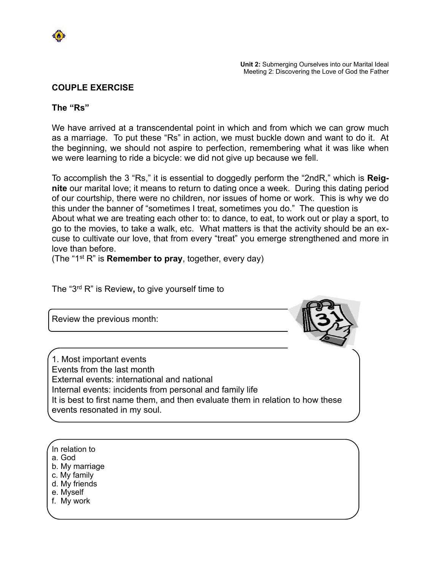

#### **COUPLE EXERCISE**

**The "Rs"**

We have arrived at a transcendental point in which and from which we can grow much as a marriage. To put these "Rs" in action, we must buckle down and want to do it. At the beginning, we should not aspire to perfection, remembering what it was like when we were learning to ride a bicycle: we did not give up because we fell.

To accomplish the 3 "Rs," it is essential to doggedly perform the "2ndR," which is **Reignite** our marital love; it means to return to dating once a week. During this dating period of our courtship, there were no children, nor issues of home or work. This is why we do this under the banner of "sometimes I treat, sometimes you do." The question is About what we are treating each other to: to dance, to eat, to work out or play a sport, to go to the movies, to take a walk, etc. What matters is that the activity should be an excuse to cultivate our love, that from every "treat" you emerge strengthened and more in love than before.

(The "1st R" is **Remember to pray**, together, every day)

The "3rd R" is Review**,** to give yourself time to

Review the previous month:

1. Most important events Events from the last month External events: international and national Internal events: incidents from personal and family life It is best to first name them, and then evaluate them in relation to how these events resonated in my soul.

In relation to

- a. God
- b. My marriage
- c. My family
- d. My friends
- e. Myself
- f. My work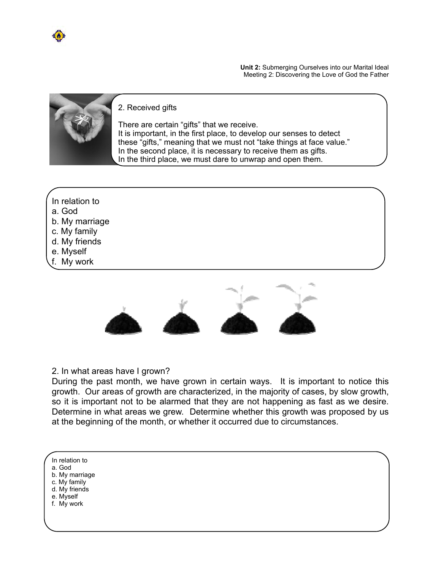



#### 2. Received gifts

There are certain "gifts" that we receive. It is important, in the first place, to develop our senses to detect these "gifts," meaning that we must not "take things at face value." In the second place, it is necessary to receive them as gifts. In the third place, we must dare to unwrap and open them.

- In relation to
- a. God
- b. My marriage
- c. My family
- d. My friends
- e. Myself
- f. My work



## 2. In what areas have I grown?

During the past month, we have grown in certain ways. It is important to notice this growth. Our areas of growth are characterized, in the majority of cases, by slow growth, so it is important not to be alarmed that they are not happening as fast as we desire. Determine in what areas we grew. Determine whether this growth was proposed by us at the beginning of the month, or whether it occurred due to circumstances.

- In relation to
- a. God
- b. My marriage
- c. My family
- d. My friends e. Myself
- f. My work
	-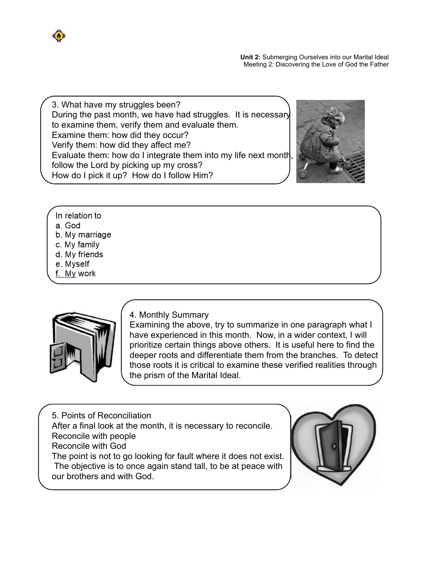

3. What have my struggles been? During the past month, we have had struggles. It is necessary to examine them, verify them and evaluate them. Examine them: how did they occur? Verify them: how did they affect me? Evaluate them: how do I integrate them into my life next month, follow the Lord by picking up my cross? How do I pick it up? How do I follow Him?



### In relation to

- a. God
- b. My marriage
- c. My family
- d. My friends
- e. Myself
- f. My work



4. Monthly Summary

Examining the above, try to summarize in one paragraph what I have experienced in this month. Now, in a wider context, I will prioritize certain things above others. It is useful here to find the deeper roots and differentiate them from the branches. To detect those roots it is critical to examine these verified realities through the prism of the Marital Ideal.

5. Points of Reconciliation After a final look at the month, it is necessary to reconcile. Reconcile with people Reconcile with God The point is not to go looking for fault where it does not exist. The objective is to once again stand tall, to be at peace with our brothers and with God.

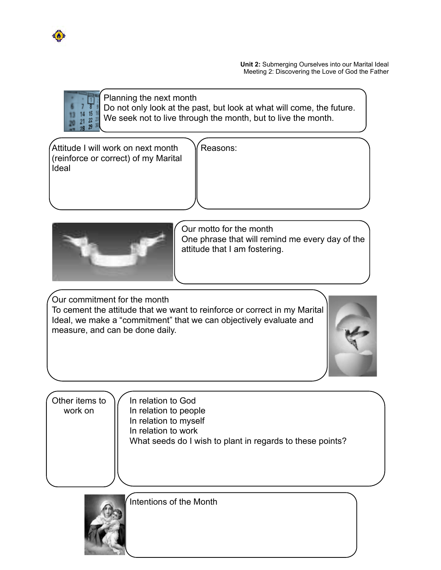

# Planning the next month Do not only look at the past, but look at what will come, the future. We seek not to live through the month, but to live the month.

Attitude I will work on next month  $\bigvee$  Reasons: (reinforce or correct) of my Marital Ideal



Our motto for the month One phrase that will remind me every day of the attitude that I am fostering.

Our commitment for the month To cement the attitude that we want to reinforce or correct in my Marital Ideal, we make a "commitment" that we can objectively evaluate and measure, and can be done daily.



Other items to  $\binom{1}{1}$  In relation to God work on  $||$  In relation to people In relation to myself In relation to work What seeds do I wish to plant in regards to these points?



Intentions of the Month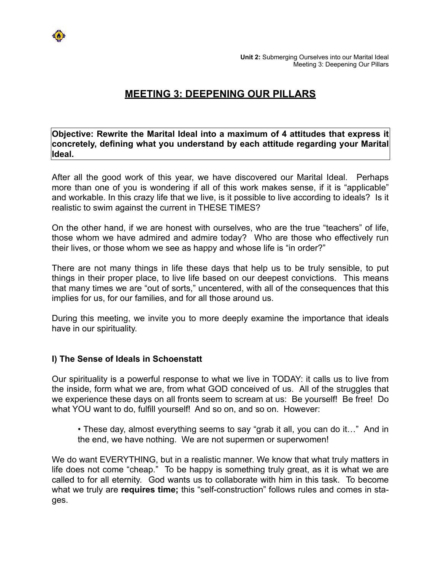

# **MEETING 3: DEEPENING OUR PILLARS**

**Objective: Rewrite the Marital Ideal into a maximum of 4 attitudes that express it concretely, defining what you understand by each attitude regarding your Marital Ideal.**

After all the good work of this year, we have discovered our Marital Ideal. Perhaps more than one of you is wondering if all of this work makes sense, if it is "applicable" and workable. In this crazy life that we live, is it possible to live according to ideals? Is it realistic to swim against the current in THESE TIMES?

On the other hand, if we are honest with ourselves, who are the true "teachers" of life, those whom we have admired and admire today? Who are those who effectively run their lives, or those whom we see as happy and whose life is "in order?"

There are not many things in life these days that help us to be truly sensible, to put things in their proper place, to live life based on our deepest convictions. This means that many times we are "out of sorts," uncentered, with all of the consequences that this implies for us, for our families, and for all those around us.

During this meeting, we invite you to more deeply examine the importance that ideals have in our spirituality.

## **I) The Sense of Ideals in Schoenstatt**

Our spirituality is a powerful response to what we live in TODAY: it calls us to live from the inside, form what we are, from what GOD conceived of us. All of the struggles that we experience these days on all fronts seem to scream at us: Be yourself! Be free! Do what YOU want to do, fulfill yourself! And so on, and so on. However:

• These day, almost everything seems to say "grab it all, you can do it…" And in the end, we have nothing. We are not supermen or superwomen!

We do want EVERYTHING, but in a realistic manner. We know that what truly matters in life does not come "cheap." To be happy is something truly great, as it is what we are called to for all eternity. God wants us to collaborate with him in this task. To become what we truly are **requires time;** this "self-construction" follows rules and comes in stages.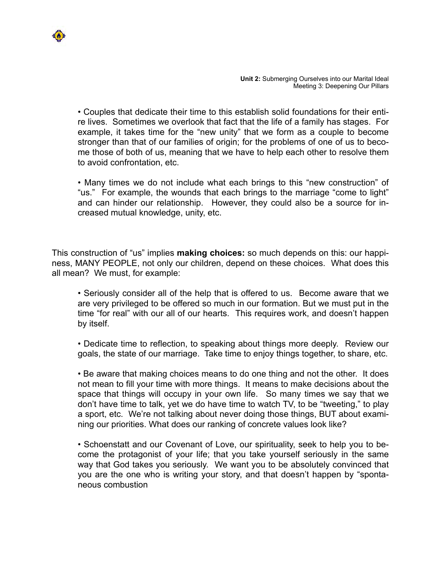

**Unit 2:** Submerging Ourselves into our Marital Ideal Meeting 3: Deepening Our Pillars

• Couples that dedicate their time to this establish solid foundations for their entire lives. Sometimes we overlook that fact that the life of a family has stages. For example, it takes time for the "new unity" that we form as a couple to become stronger than that of our families of origin; for the problems of one of us to become those of both of us, meaning that we have to help each other to resolve them to avoid confrontation, etc.

• Many times we do not include what each brings to this "new construction" of "us." For example, the wounds that each brings to the marriage "come to light" and can hinder our relationship. However, they could also be a source for increased mutual knowledge, unity, etc.

This construction of "us" implies **making choices:** so much depends on this: our happiness, MANY PEOPLE, not only our children, depend on these choices. What does this all mean? We must, for example:

• Seriously consider all of the help that is offered to us. Become aware that we are very privileged to be offered so much in our formation. But we must put in the time "for real" with our all of our hearts. This requires work, and doesn't happen by itself.

• Dedicate time to reflection, to speaking about things more deeply. Review our goals, the state of our marriage. Take time to enjoy things together, to share, etc.

• Be aware that making choices means to do one thing and not the other. It does not mean to fill your time with more things. It means to make decisions about the space that things will occupy in your own life. So many times we say that we don't have time to talk, yet we do have time to watch TV, to be "tweeting," to play a sport, etc. We're not talking about never doing those things, BUT about examining our priorities. What does our ranking of concrete values look like?

• Schoenstatt and our Covenant of Love, our spirituality, seek to help you to become the protagonist of your life; that you take yourself seriously in the same way that God takes you seriously. We want you to be absolutely convinced that you are the one who is writing your story, and that doesn't happen by "spontaneous combustion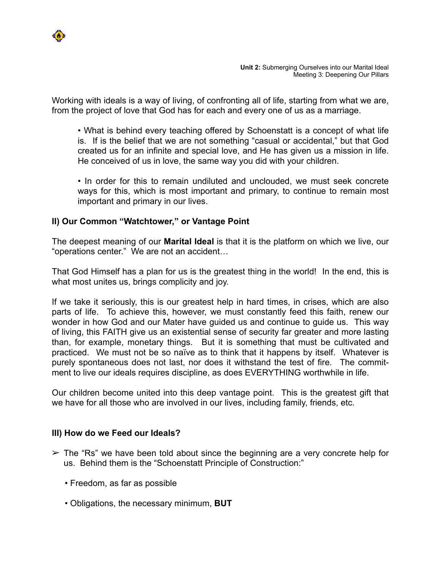

Working with ideals is a way of living, of confronting all of life, starting from what we are, from the project of love that God has for each and every one of us as a marriage.

• What is behind every teaching offered by Schoenstatt is a concept of what life is. If is the belief that we are not something "casual or accidental," but that God created us for an infinite and special love, and He has given us a mission in life. He conceived of us in love, the same way you did with your children.

• In order for this to remain undiluted and unclouded, we must seek concrete ways for this, which is most important and primary, to continue to remain most important and primary in our lives.

# **II) Our Common "Watchtower," or Vantage Point**

The deepest meaning of our **Marital Ideal** is that it is the platform on which we live, our "operations center." We are not an accident…

That God Himself has a plan for us is the greatest thing in the world! In the end, this is what most unites us, brings complicity and joy.

If we take it seriously, this is our greatest help in hard times, in crises, which are also parts of life. To achieve this, however, we must constantly feed this faith, renew our wonder in how God and our Mater have guided us and continue to guide us. This way of living, this FAITH give us an existential sense of security far greater and more lasting than, for example, monetary things. But it is something that must be cultivated and practiced. We must not be so naïve as to think that it happens by itself. Whatever is purely spontaneous does not last, nor does it withstand the test of fire. The commitment to live our ideals requires discipline, as does EVERYTHING worthwhile in life.

Our children become united into this deep vantage point. This is the greatest gift that we have for all those who are involved in our lives, including family, friends, etc.

## **III) How do we Feed our Ideals?**

- $\geq$  The "Rs" we have been told about since the beginning are a very concrete help for us. Behind them is the "Schoenstatt Principle of Construction:"
	- Freedom, as far as possible
	- Obligations, the necessary minimum, **BUT**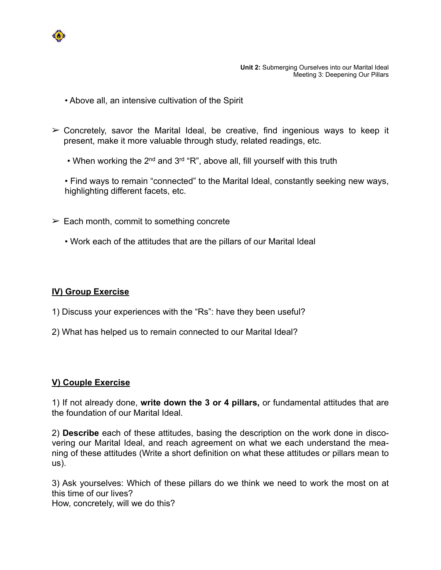

- Above all, an intensive cultivation of the Spirit
- $\triangleright$  Concretely, savor the Marital Ideal, be creative, find ingenious ways to keep it present, make it more valuable through study, related readings, etc.
	- When working the  $2^{nd}$  and  $3^{rd}$  "R", above all, fill yourself with this truth
	- Find ways to remain "connected" to the Marital Ideal, constantly seeking new ways, highlighting different facets, etc.
- $\geq$  Each month, commit to something concrete
	- Work each of the attitudes that are the pillars of our Marital Ideal

## **IV) Group Exercise**

- 1) Discuss your experiences with the "Rs": have they been useful?
- 2) What has helped us to remain connected to our Marital Ideal?

## **V) Couple Exercise**

1) If not already done, **write down the 3 or 4 pillars,** or fundamental attitudes that are the foundation of our Marital Ideal.

2) **Describe** each of these attitudes, basing the description on the work done in discovering our Marital Ideal, and reach agreement on what we each understand the meaning of these attitudes (Write a short definition on what these attitudes or pillars mean to us).

3) Ask yourselves: Which of these pillars do we think we need to work the most on at this time of our lives? How, concretely, will we do this?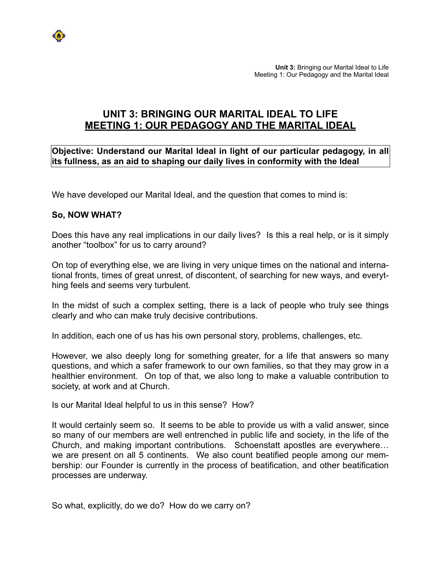

**Unit 3:** Bringing our Marital Ideal to Life Meeting 1: Our Pedagogy and the Marital Ideal

# **UNIT 3: BRINGING OUR MARITAL IDEAL TO LIFE MEETING 1: OUR PEDAGOGY AND THE MARITAL IDEAL**

**Objective: Understand our Marital Ideal in light of our particular pedagogy, in all its fullness, as an aid to shaping our daily lives in conformity with the Ideal**

We have developed our Marital Ideal, and the question that comes to mind is:

### **So, NOW WHAT?**

Does this have any real implications in our daily lives? Is this a real help, or is it simply another "toolbox" for us to carry around?

On top of everything else, we are living in very unique times on the national and international fronts, times of great unrest, of discontent, of searching for new ways, and everything feels and seems very turbulent.

In the midst of such a complex setting, there is a lack of people who truly see things clearly and who can make truly decisive contributions.

In addition, each one of us has his own personal story, problems, challenges, etc.

However, we also deeply long for something greater, for a life that answers so many questions, and which a safer framework to our own families, so that they may grow in a healthier environment. On top of that, we also long to make a valuable contribution to society, at work and at Church.

Is our Marital Ideal helpful to us in this sense? How?

It would certainly seem so. It seems to be able to provide us with a valid answer, since so many of our members are well entrenched in public life and society, in the life of the Church, and making important contributions. Schoenstatt apostles are everywhere… we are present on all 5 continents. We also count beatified people among our membership: our Founder is currently in the process of beatification, and other beatification processes are underway.

So what, explicitly, do we do? How do we carry on?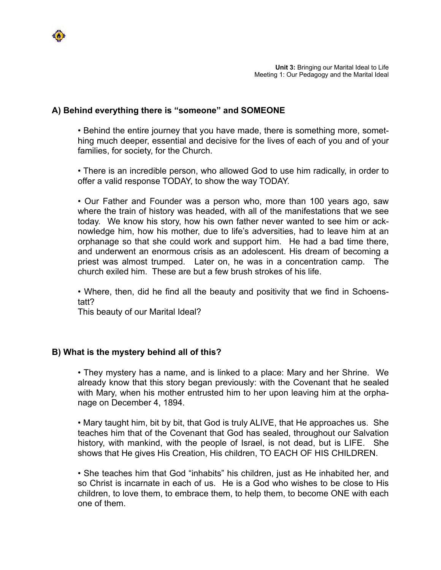

# **A) Behind everything there is "someone" and SOMEONE**

• Behind the entire journey that you have made, there is something more, something much deeper, essential and decisive for the lives of each of you and of your families, for society, for the Church.

• There is an incredible person, who allowed God to use him radically, in order to offer a valid response TODAY, to show the way TODAY.

• Our Father and Founder was a person who, more than 100 years ago, saw where the train of history was headed, with all of the manifestations that we see today. We know his story, how his own father never wanted to see him or acknowledge him, how his mother, due to life's adversities, had to leave him at an orphanage so that she could work and support him. He had a bad time there, and underwent an enormous crisis as an adolescent. His dream of becoming a priest was almost trumped. Later on, he was in a concentration camp. The church exiled him. These are but a few brush strokes of his life.

• Where, then, did he find all the beauty and positivity that we find in Schoenstatt?

This beauty of our Marital Ideal?

### **B) What is the mystery behind all of this?**

• They mystery has a name, and is linked to a place: Mary and her Shrine. We already know that this story began previously: with the Covenant that he sealed with Mary, when his mother entrusted him to her upon leaving him at the orphanage on December 4, 1894.

• Mary taught him, bit by bit, that God is truly ALIVE, that He approaches us. She teaches him that of the Covenant that God has sealed, throughout our Salvation history, with mankind, with the people of Israel, is not dead, but is LIFE. She shows that He gives His Creation, His children, TO EACH OF HIS CHILDREN.

• She teaches him that God "inhabits" his children, just as He inhabited her, and so Christ is incarnate in each of us. He is a God who wishes to be close to His children, to love them, to embrace them, to help them, to become ONE with each one of them.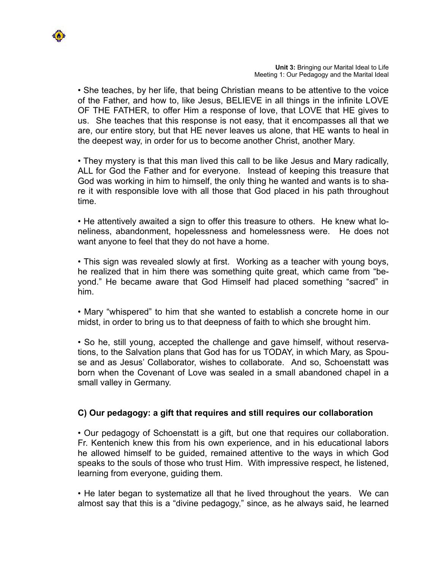

• She teaches, by her life, that being Christian means to be attentive to the voice of the Father, and how to, like Jesus, BELIEVE in all things in the infinite LOVE OF THE FATHER, to offer Him a response of love, that LOVE that HE gives to us. She teaches that this response is not easy, that it encompasses all that we are, our entire story, but that HE never leaves us alone, that HE wants to heal in the deepest way, in order for us to become another Christ, another Mary.

• They mystery is that this man lived this call to be like Jesus and Mary radically, ALL for God the Father and for everyone. Instead of keeping this treasure that God was working in him to himself, the only thing he wanted and wants is to share it with responsible love with all those that God placed in his path throughout time.

• He attentively awaited a sign to offer this treasure to others. He knew what loneliness, abandonment, hopelessness and homelessness were. He does not want anyone to feel that they do not have a home.

• This sign was revealed slowly at first. Working as a teacher with young boys, he realized that in him there was something quite great, which came from "beyond." He became aware that God Himself had placed something "sacred" in him.

• Mary "whispered" to him that she wanted to establish a concrete home in our midst, in order to bring us to that deepness of faith to which she brought him.

• So he, still young, accepted the challenge and gave himself, without reservations, to the Salvation plans that God has for us TODAY, in which Mary, as Spouse and as Jesus' Collaborator, wishes to collaborate. And so, Schoenstatt was born when the Covenant of Love was sealed in a small abandoned chapel in a small valley in Germany.

# **C) Our pedagogy: a gift that requires and still requires our collaboration**

• Our pedagogy of Schoenstatt is a gift, but one that requires our collaboration. Fr. Kentenich knew this from his own experience, and in his educational labors he allowed himself to be guided, remained attentive to the ways in which God speaks to the souls of those who trust Him. With impressive respect, he listened, learning from everyone, guiding them.

• He later began to systematize all that he lived throughout the years. We can almost say that this is a "divine pedagogy," since, as he always said, he learned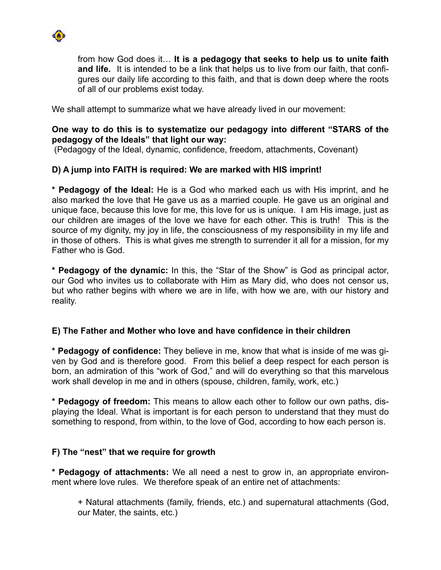

from how God does it… **It is a pedagogy that seeks to help us to unite faith and life.** It is intended to be a link that helps us to live from our faith, that configures our daily life according to this faith, and that is down deep where the roots of all of our problems exist today.

We shall attempt to summarize what we have already lived in our movement:

## **One way to do this is to systematize our pedagogy into different "STARS of the pedagogy of the Ideals" that light our way:**

(Pedagogy of the Ideal, dynamic, confidence, freedom, attachments, Covenant)

## **D) A jump into FAITH is required: We are marked with HIS imprint!**

**\* Pedagogy of the Ideal:** He is a God who marked each us with His imprint, and he also marked the love that He gave us as a married couple. He gave us an original and unique face, because this love for me, this love for us is unique. I am His image, just as our children are images of the love we have for each other. This is truth! This is the source of my dignity, my joy in life, the consciousness of my responsibility in my life and in those of others. This is what gives me strength to surrender it all for a mission, for my Father who is God.

**\* Pedagogy of the dynamic:** In this, the "Star of the Show" is God as principal actor, our God who invites us to collaborate with Him as Mary did, who does not censor us, but who rather begins with where we are in life, with how we are, with our history and reality.

## **E) The Father and Mother who love and have confidence in their children**

**\* Pedagogy of confidence:** They believe in me, know that what is inside of me was given by God and is therefore good. From this belief a deep respect for each person is born, an admiration of this "work of God," and will do everything so that this marvelous work shall develop in me and in others (spouse, children, family, work, etc.)

**\* Pedagogy of freedom:** This means to allow each other to follow our own paths, displaying the Ideal. What is important is for each person to understand that they must do something to respond, from within, to the love of God, according to how each person is.

### **F) The "nest" that we require for growth**

**\* Pedagogy of attachments:** We all need a nest to grow in, an appropriate environment where love rules. We therefore speak of an entire net of attachments:

+ Natural attachments (family, friends, etc.) and supernatural attachments (God, our Mater, the saints, etc.)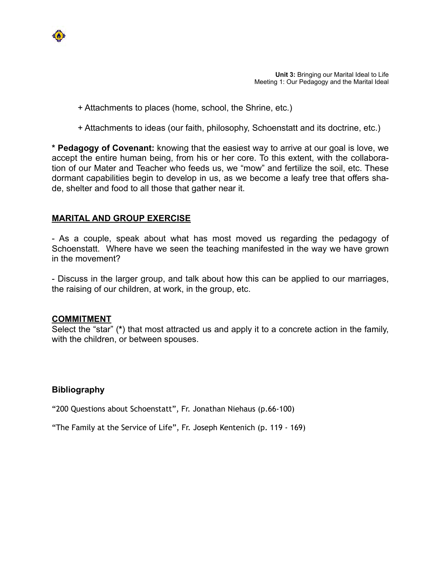

**Unit 3:** Bringing our Marital Ideal to Life Meeting 1: Our Pedagogy and the Marital Ideal

+ Attachments to places (home, school, the Shrine, etc.)

+ Attachments to ideas (our faith, philosophy, Schoenstatt and its doctrine, etc.)

**\* Pedagogy of Covenant:** knowing that the easiest way to arrive at our goal is love, we accept the entire human being, from his or her core. To this extent, with the collaboration of our Mater and Teacher who feeds us, we "mow" and fertilize the soil, etc. These dormant capabilities begin to develop in us, as we become a leafy tree that offers shade, shelter and food to all those that gather near it.

#### **MARITAL AND GROUP EXERCISE**

- As a couple, speak about what has most moved us regarding the pedagogy of Schoenstatt. Where have we seen the teaching manifested in the way we have grown in the movement?

- Discuss in the larger group, and talk about how this can be applied to our marriages, the raising of our children, at work, in the group, etc.

#### **COMMITMENT**

Select the "star" (**\***) that most attracted us and apply it to a concrete action in the family, with the children, or between spouses.

#### **Bibliography**

"200 Questions about Schoenstatt", Fr. Jonathan Niehaus (p.66-100)

"The Family at the Service of Life", Fr. Joseph Kentenich (p. 119 - 169)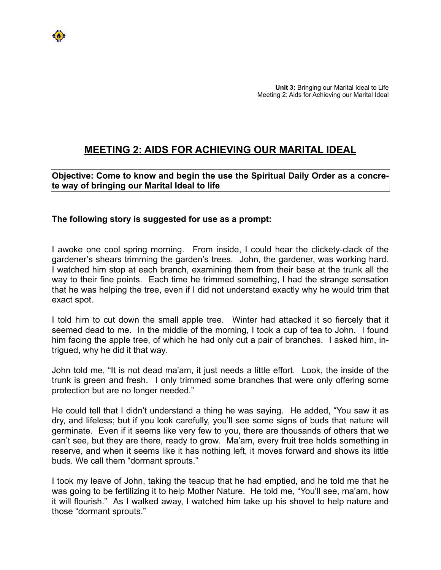# **MEETING 2: AIDS FOR ACHIEVING OUR MARITAL IDEAL**

**Objective: Come to know and begin the use the Spiritual Daily Order as a concrete way of bringing our Marital Ideal to life**

## **The following story is suggested for use as a prompt:**

I awoke one cool spring morning. From inside, I could hear the clickety-clack of the gardener's shears trimming the garden's trees. John, the gardener, was working hard. I watched him stop at each branch, examining them from their base at the trunk all the way to their fine points. Each time he trimmed something, I had the strange sensation that he was helping the tree, even if I did not understand exactly why he would trim that exact spot.

I told him to cut down the small apple tree. Winter had attacked it so fiercely that it seemed dead to me. In the middle of the morning, I took a cup of tea to John. I found him facing the apple tree, of which he had only cut a pair of branches. I asked him, intrigued, why he did it that way.

John told me, "It is not dead ma'am, it just needs a little effort. Look, the inside of the trunk is green and fresh. I only trimmed some branches that were only offering some protection but are no longer needed."

He could tell that I didn't understand a thing he was saying. He added, "You saw it as dry, and lifeless; but if you look carefully, you'll see some signs of buds that nature will germinate. Even if it seems like very few to you, there are thousands of others that we can't see, but they are there, ready to grow. Ma'am, every fruit tree holds something in reserve, and when it seems like it has nothing left, it moves forward and shows its little buds. We call them "dormant sprouts."

I took my leave of John, taking the teacup that he had emptied, and he told me that he was going to be fertilizing it to help Mother Nature. He told me, "You'll see, ma'am, how it will flourish." As I walked away, I watched him take up his shovel to help nature and those "dormant sprouts."

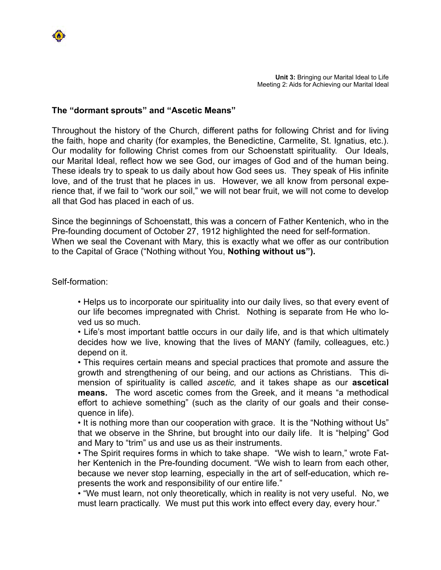

### **The "dormant sprouts" and "Ascetic Means"**

Throughout the history of the Church, different paths for following Christ and for living the faith, hope and charity (for examples, the Benedictine, Carmelite, St. Ignatius, etc.). Our modality for following Christ comes from our Schoenstatt spirituality. Our Ideals, our Marital Ideal, reflect how we see God, our images of God and of the human being. These ideals try to speak to us daily about how God sees us. They speak of His infinite love, and of the trust that he places in us. However, we all know from personal experience that, if we fail to "work our soil," we will not bear fruit, we will not come to develop all that God has placed in each of us.

Since the beginnings of Schoenstatt, this was a concern of Father Kentenich, who in the Pre-founding document of October 27, 1912 highlighted the need for self-formation. When we seal the Covenant with Mary, this is exactly what we offer as our contribution to the Capital of Grace ("Nothing without You, **Nothing without us").**

Self-formation:

• Helps us to incorporate our spirituality into our daily lives, so that every event of our life becomes impregnated with Christ. Nothing is separate from He who loved us so much.

• Life's most important battle occurs in our daily life, and is that which ultimately decides how we live, knowing that the lives of MANY (family, colleagues, etc.) depend on it.

• This requires certain means and special practices that promote and assure the growth and strengthening of our being, and our actions as Christians. This dimension of spirituality is called *ascetic,* and it takes shape as our **ascetical means.** The word ascetic comes from the Greek, and it means "a methodical effort to achieve something" (such as the clarity of our goals and their consequence in life).

• It is nothing more than our cooperation with grace. It is the "Nothing without Us" that we observe in the Shrine, but brought into our daily life. It is "helping" God and Mary to "trim" us and use us as their instruments.

• The Spirit requires forms in which to take shape. "We wish to learn," wrote Father Kentenich in the Pre-founding document. "We wish to learn from each other, because we never stop learning, especially in the art of self-education, which represents the work and responsibility of our entire life."

• "We must learn, not only theoretically, which in reality is not very useful. No, we must learn practically. We must put this work into effect every day, every hour."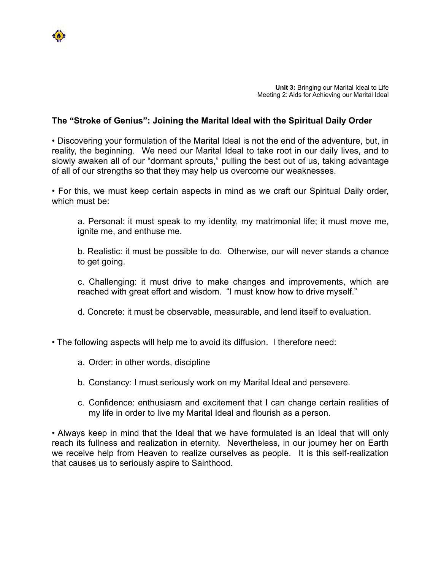

**Unit 3:** Bringing our Marital Ideal to Life Meeting 2: Aids for Achieving our Marital Ideal

## **The "Stroke of Genius": Joining the Marital Ideal with the Spiritual Daily Order**

• Discovering your formulation of the Marital Ideal is not the end of the adventure, but, in reality, the beginning. We need our Marital Ideal to take root in our daily lives, and to slowly awaken all of our "dormant sprouts," pulling the best out of us, taking advantage of all of our strengths so that they may help us overcome our weaknesses.

• For this, we must keep certain aspects in mind as we craft our Spiritual Daily order, which must be:

a. Personal: it must speak to my identity, my matrimonial life; it must move me, ignite me, and enthuse me.

b. Realistic: it must be possible to do. Otherwise, our will never stands a chance to get going.

c. Challenging: it must drive to make changes and improvements, which are reached with great effort and wisdom. "I must know how to drive myself."

d. Concrete: it must be observable, measurable, and lend itself to evaluation.

- The following aspects will help me to avoid its diffusion. I therefore need:
	- a. Order: in other words, discipline
	- b. Constancy: I must seriously work on my Marital Ideal and persevere.
	- c. Confidence: enthusiasm and excitement that I can change certain realities of my life in order to live my Marital Ideal and flourish as a person.

• Always keep in mind that the Ideal that we have formulated is an Ideal that will only reach its fullness and realization in eternity. Nevertheless, in our journey her on Earth we receive help from Heaven to realize ourselves as people. It is this self-realization that causes us to seriously aspire to Sainthood.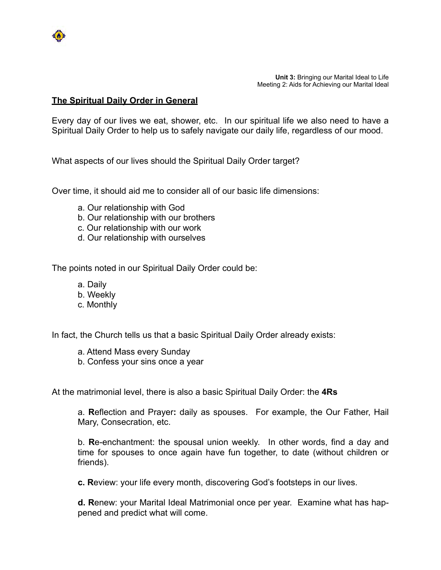

**Unit 3:** Bringing our Marital Ideal to Life Meeting 2: Aids for Achieving our Marital Ideal

### **The Spiritual Daily Order in General**

Every day of our lives we eat, shower, etc. In our spiritual life we also need to have a Spiritual Daily Order to help us to safely navigate our daily life, regardless of our mood.

What aspects of our lives should the Spiritual Daily Order target?

Over time, it should aid me to consider all of our basic life dimensions:

- a. Our relationship with God
- b. Our relationship with our brothers
- c. Our relationship with our work
- d. Our relationship with ourselves

The points noted in our Spiritual Daily Order could be:

- a. Daily
- b. Weekly
- c. Monthly

In fact, the Church tells us that a basic Spiritual Daily Order already exists:

- a. Attend Mass every Sunday
- b. Confess your sins once a year

At the matrimonial level, there is also a basic Spiritual Daily Order: the **4Rs**

a. **R**eflection and Prayer**:** daily as spouses. For example, the Our Father, Hail Mary, Consecration, etc.

b. **R**e-enchantment: the spousal union weekly. In other words, find a day and time for spouses to once again have fun together, to date (without children or friends).

**c. R**eview: your life every month, discovering God's footsteps in our lives.

**d. R**enew: your Marital Ideal Matrimonial once per year. Examine what has happened and predict what will come.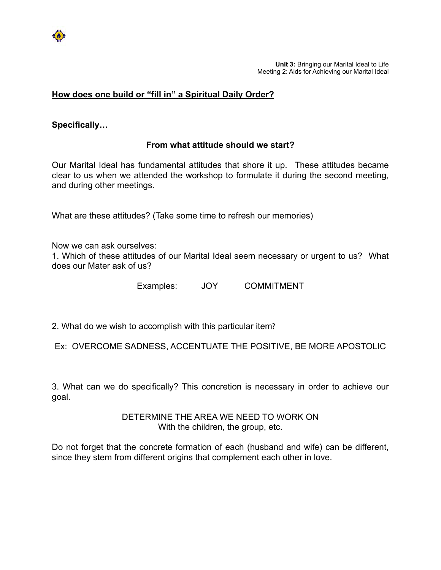

# **How does one build or "fill in" a Spiritual Daily Order?**

**Specifically…**

### **From what attitude should we start?**

Our Marital Ideal has fundamental attitudes that shore it up. These attitudes became clear to us when we attended the workshop to formulate it during the second meeting, and during other meetings.

What are these attitudes? (Take some time to refresh our memories)

Now we can ask ourselves:

1. Which of these attitudes of our Marital Ideal seem necessary or urgent to us? What does our Mater ask of us?

Examples: JOY COMMITMENT

2. What do we wish to accomplish with this particular item?

Ex: OVERCOME SADNESS, ACCENTUATE THE POSITIVE, BE MORE APOSTOLIC

3. What can we do specifically? This concretion is necessary in order to achieve our goal.

> DETERMINE THE AREA WE NEED TO WORK ON With the children, the group, etc.

Do not forget that the concrete formation of each (husband and wife) can be different, since they stem from different origins that complement each other in love.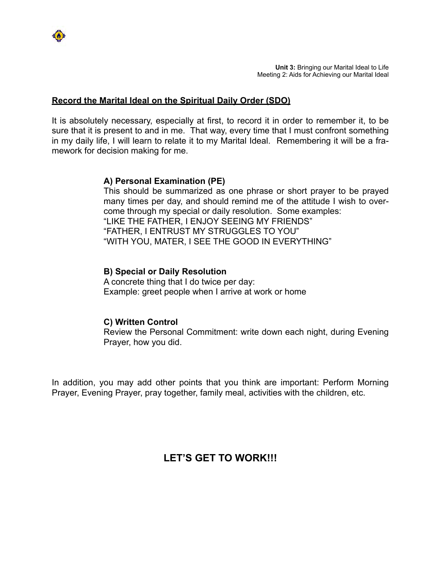

**Unit 3:** Bringing our Marital Ideal to Life Meeting 2: Aids for Achieving our Marital Ideal

## **Record the Marital Ideal on the Spiritual Daily Order (SDO)**

It is absolutely necessary, especially at first, to record it in order to remember it, to be sure that it is present to and in me. That way, every time that I must confront something in my daily life, I will learn to relate it to my Marital Ideal. Remembering it will be a framework for decision making for me.

## **A) Personal Examination (PE)**

This should be summarized as one phrase or short prayer to be prayed many times per day, and should remind me of the attitude I wish to overcome through my special or daily resolution. Some examples: "LIKE THE FATHER, I ENJOY SEEING MY FRIENDS" "FATHER, I ENTRUST MY STRUGGLES TO YOU" "WITH YOU, MATER, I SEE THE GOOD IN EVERYTHING"

# **B) Special or Daily Resolution**

A concrete thing that I do twice per day: Example: greet people when I arrive at work or home

## **C) Written Control**

Review the Personal Commitment: write down each night, during Evening Prayer, how you did.

In addition, you may add other points that you think are important: Perform Morning Prayer, Evening Prayer, pray together, family meal, activities with the children, etc.

# **LET'S GET TO WORK!!!**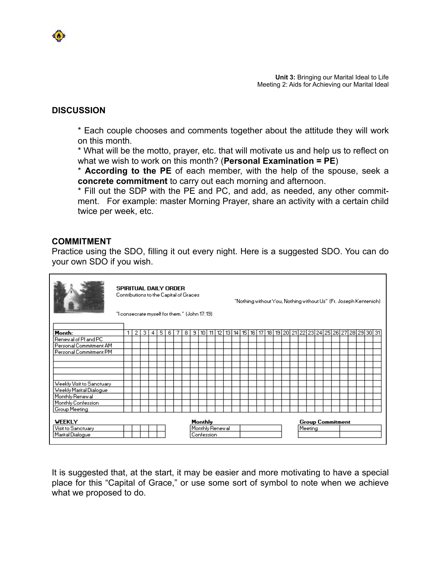## **DISCUSSION**

\* Each couple chooses and comments together about the attitude they will work on this month.

\* What will be the motto, prayer, etc. that will motivate us and help us to reflect on what we wish to work on this month? (**Personal Examination = PE**)

\* **According to the PE** of each member, with the help of the spouse, seek a **concrete commitment** to carry out each morning and afternoon.

\* Fill out the SDP with the PE and PC, and add, as needed, any other commitment. For example: master Morning Prayer, share an activity with a certain child twice per week, etc.

### **COMMITMENT**

Practice using the SDO, filling it out every night. Here is a suggested SDO. You can do your own SDO if you wish.

|                                                         |                                          | SPIRITUAL DAILY ORDER<br>Contributions to the Capital of Graces<br>"Nothing without You, Nothing without Us" (Fr. Joseph Kentenich).<br>"I consecrate myself for them." (John 17:19). |   |    |   |    |   |  |   |     |  |  |                |  |  |  |  |  |  |  |                                    |  |  |  |                                                                                              |  |  |  |  |
|---------------------------------------------------------|------------------------------------------|---------------------------------------------------------------------------------------------------------------------------------------------------------------------------------------|---|----|---|----|---|--|---|-----|--|--|----------------|--|--|--|--|--|--|--|------------------------------------|--|--|--|----------------------------------------------------------------------------------------------|--|--|--|--|
| Month:                                                  |                                          |                                                                                                                                                                                       | 2 | -3 | 4 | 5. | 6 |  | 8 | -91 |  |  | $10$   11   12 |  |  |  |  |  |  |  |                                    |  |  |  | 13   14   15   16   17   18   19   20   21   22   23   24   25   26   27   28   29   30   31 |  |  |  |  |
| Renewal of Pl and PC                                    |                                          |                                                                                                                                                                                       |   |    |   |    |   |  |   |     |  |  |                |  |  |  |  |  |  |  |                                    |  |  |  |                                                                                              |  |  |  |  |
| Personal Commitment AM                                  |                                          |                                                                                                                                                                                       |   |    |   |    |   |  |   |     |  |  |                |  |  |  |  |  |  |  |                                    |  |  |  |                                                                                              |  |  |  |  |
| Personal Commitment PM                                  |                                          |                                                                                                                                                                                       |   |    |   |    |   |  |   |     |  |  |                |  |  |  |  |  |  |  |                                    |  |  |  |                                                                                              |  |  |  |  |
|                                                         |                                          |                                                                                                                                                                                       |   |    |   |    |   |  |   |     |  |  |                |  |  |  |  |  |  |  |                                    |  |  |  |                                                                                              |  |  |  |  |
|                                                         |                                          |                                                                                                                                                                                       |   |    |   |    |   |  |   |     |  |  |                |  |  |  |  |  |  |  |                                    |  |  |  |                                                                                              |  |  |  |  |
|                                                         |                                          |                                                                                                                                                                                       |   |    |   |    |   |  |   |     |  |  |                |  |  |  |  |  |  |  |                                    |  |  |  |                                                                                              |  |  |  |  |
|                                                         |                                          |                                                                                                                                                                                       |   |    |   |    |   |  |   |     |  |  |                |  |  |  |  |  |  |  |                                    |  |  |  |                                                                                              |  |  |  |  |
| Weekly Visit to Sanctuary                               |                                          |                                                                                                                                                                                       |   |    |   |    |   |  |   |     |  |  |                |  |  |  |  |  |  |  |                                    |  |  |  |                                                                                              |  |  |  |  |
| Weekly Marital Dialogue                                 |                                          |                                                                                                                                                                                       |   |    |   |    |   |  |   |     |  |  |                |  |  |  |  |  |  |  |                                    |  |  |  |                                                                                              |  |  |  |  |
| Monthly Renewal                                         |                                          |                                                                                                                                                                                       |   |    |   |    |   |  |   |     |  |  |                |  |  |  |  |  |  |  |                                    |  |  |  |                                                                                              |  |  |  |  |
| Monthly Confession                                      |                                          |                                                                                                                                                                                       |   |    |   |    |   |  |   |     |  |  |                |  |  |  |  |  |  |  |                                    |  |  |  |                                                                                              |  |  |  |  |
| Group Meeting                                           |                                          |                                                                                                                                                                                       |   |    |   |    |   |  |   |     |  |  |                |  |  |  |  |  |  |  |                                    |  |  |  |                                                                                              |  |  |  |  |
| <b>WEEKLY</b><br>Visit to Sanctuary<br>Marital Dialogue | Monthly<br>Monthly Renewal<br>Confession |                                                                                                                                                                                       |   |    |   |    |   |  |   |     |  |  |                |  |  |  |  |  |  |  | <b>Group Commitment</b><br>Meeting |  |  |  |                                                                                              |  |  |  |  |

It is suggested that, at the start, it may be easier and more motivating to have a special place for this "Capital of Grace," or use some sort of symbol to note when we achieve what we proposed to do.

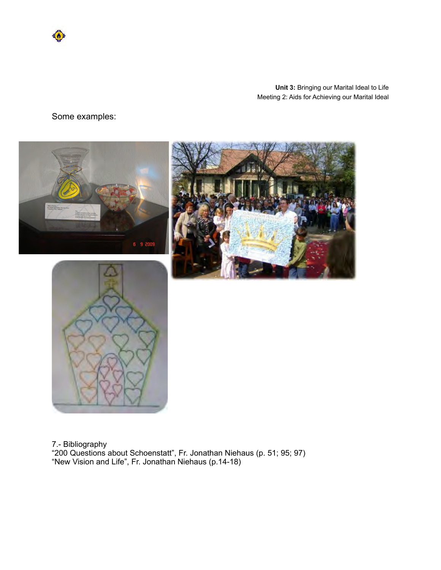

**Unit 3:** Bringing our Marital Ideal to Life Meeting 2: Aids for Achieving our Marital Ideal

Some examples:



7.- Bibliography "200 Questions about Schoenstatt", Fr. Jonathan Niehaus (p. 51; 95; 97) "New Vision and Life", Fr. Jonathan Niehaus (p.14-18)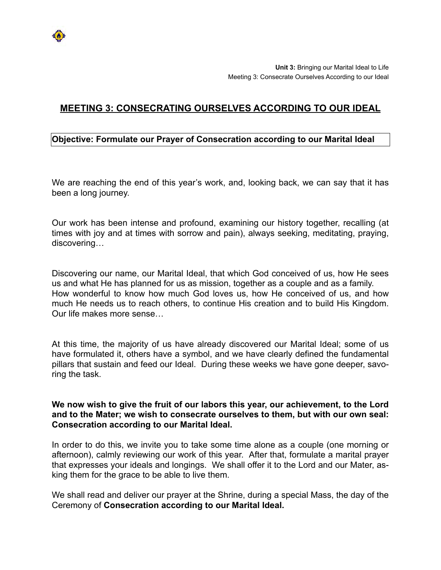

**Unit 3:** Bringing our Marital Ideal to Life Meeting 3: Consecrate Ourselves According to our Ideal

# **MEETING 3: CONSECRATING OURSELVES ACCORDING TO OUR IDEAL**

### **Objective: Formulate our Prayer of Consecration according to our Marital Ideal**

We are reaching the end of this year's work, and, looking back, we can say that it has been a long journey.

Our work has been intense and profound, examining our history together, recalling (at times with joy and at times with sorrow and pain), always seeking, meditating, praying, discovering…

Discovering our name, our Marital Ideal, that which God conceived of us, how He sees us and what He has planned for us as mission, together as a couple and as a family. How wonderful to know how much God loves us, how He conceived of us, and how much He needs us to reach others, to continue His creation and to build His Kingdom. Our life makes more sense…

At this time, the majority of us have already discovered our Marital Ideal; some of us have formulated it, others have a symbol, and we have clearly defined the fundamental pillars that sustain and feed our Ideal. During these weeks we have gone deeper, savoring the task.

### **We now wish to give the fruit of our labors this year, our achievement, to the Lord and to the Mater; we wish to consecrate ourselves to them, but with our own seal: Consecration according to our Marital Ideal.**

In order to do this, we invite you to take some time alone as a couple (one morning or afternoon), calmly reviewing our work of this year. After that, formulate a marital prayer that expresses your ideals and longings. We shall offer it to the Lord and our Mater, asking them for the grace to be able to live them.

We shall read and deliver our prayer at the Shrine, during a special Mass, the day of the Ceremony of **Consecration according to our Marital Ideal.**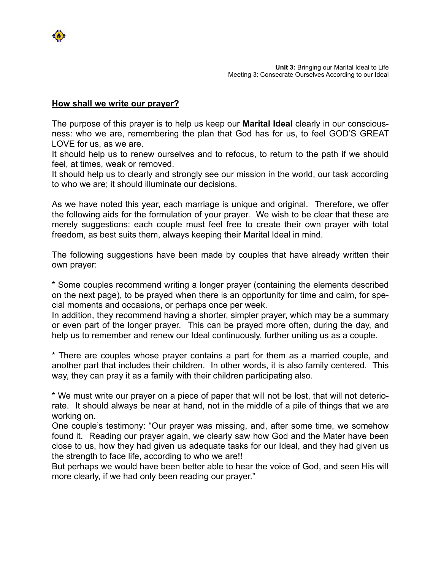

### **How shall we write our prayer?**

The purpose of this prayer is to help us keep our **Marital Ideal** clearly in our consciousness: who we are, remembering the plan that God has for us, to feel GOD'S GREAT LOVE for us, as we are.

It should help us to renew ourselves and to refocus, to return to the path if we should feel, at times, weak or removed.

It should help us to clearly and strongly see our mission in the world, our task according to who we are; it should illuminate our decisions.

As we have noted this year, each marriage is unique and original. Therefore, we offer the following aids for the formulation of your prayer. We wish to be clear that these are merely suggestions: each couple must feel free to create their own prayer with total freedom, as best suits them, always keeping their Marital Ideal in mind.

The following suggestions have been made by couples that have already written their own prayer:

\* Some couples recommend writing a longer prayer (containing the elements described on the next page), to be prayed when there is an opportunity for time and calm, for special moments and occasions, or perhaps once per week.

In addition, they recommend having a shorter, simpler prayer, which may be a summary or even part of the longer prayer. This can be prayed more often, during the day, and help us to remember and renew our Ideal continuously, further uniting us as a couple.

\* There are couples whose prayer contains a part for them as a married couple, and another part that includes their children. In other words, it is also family centered. This way, they can pray it as a family with their children participating also.

\* We must write our prayer on a piece of paper that will not be lost, that will not deteriorate. It should always be near at hand, not in the middle of a pile of things that we are working on.

One couple's testimony: "Our prayer was missing, and, after some time, we somehow found it. Reading our prayer again, we clearly saw how God and the Mater have been close to us, how they had given us adequate tasks for our Ideal, and they had given us the strength to face life, according to who we are!!

But perhaps we would have been better able to hear the voice of God, and seen His will more clearly, if we had only been reading our prayer."